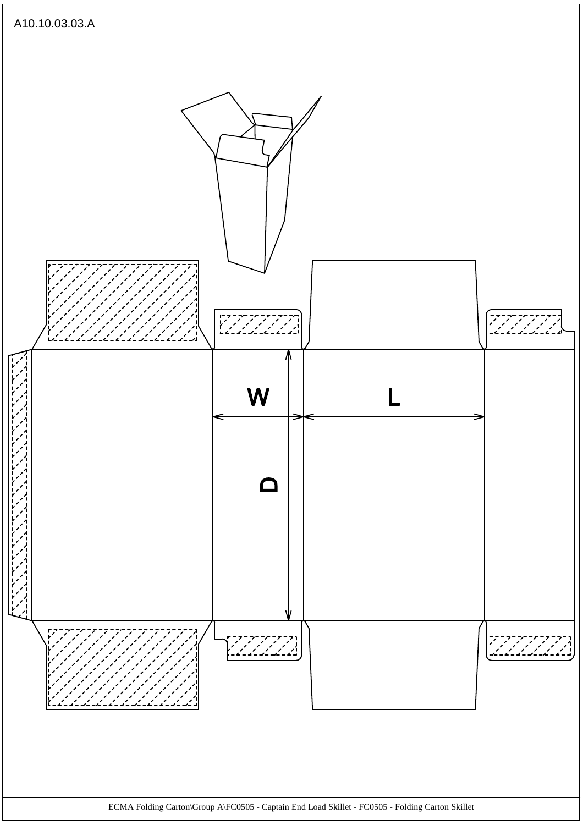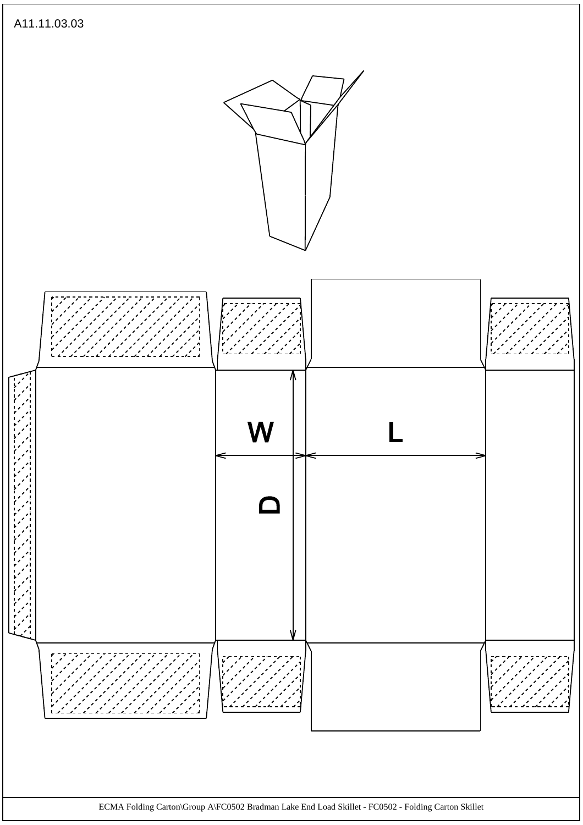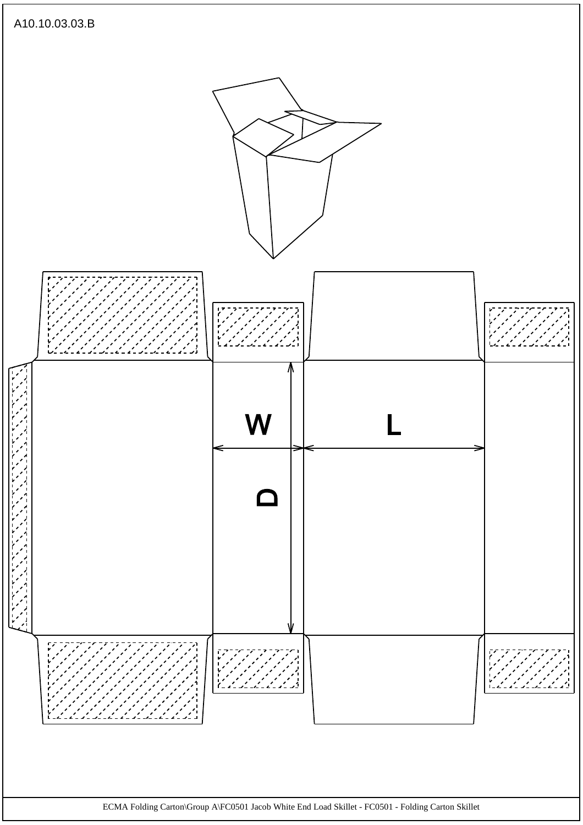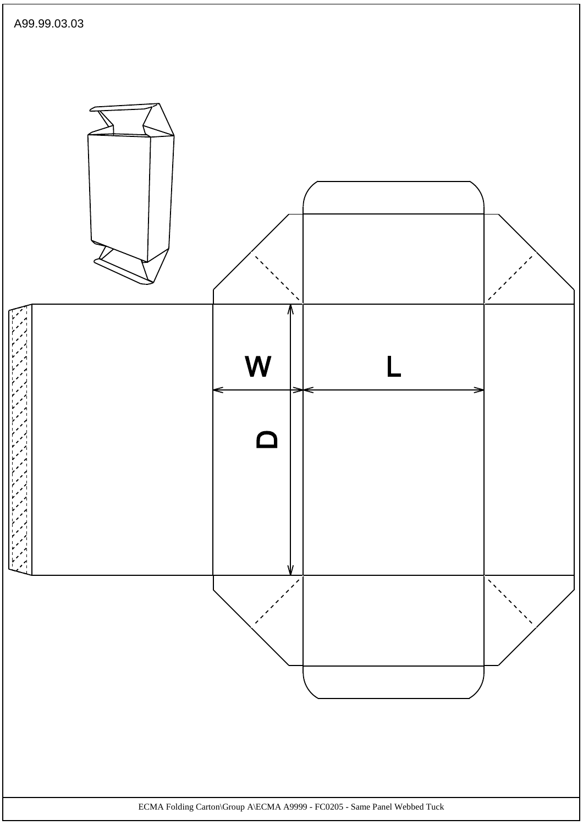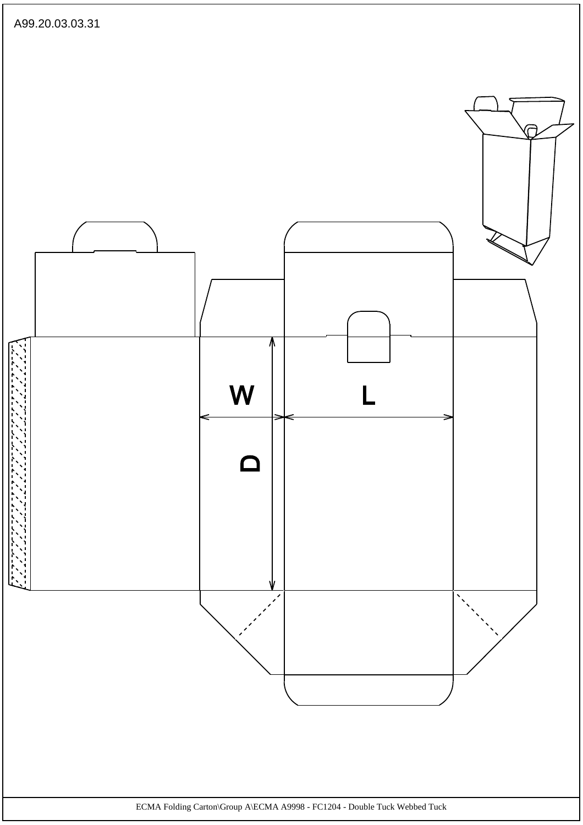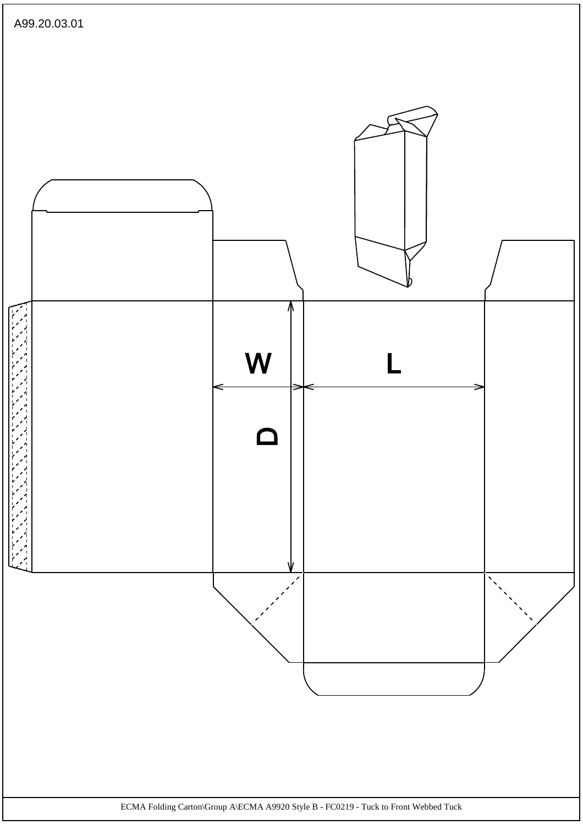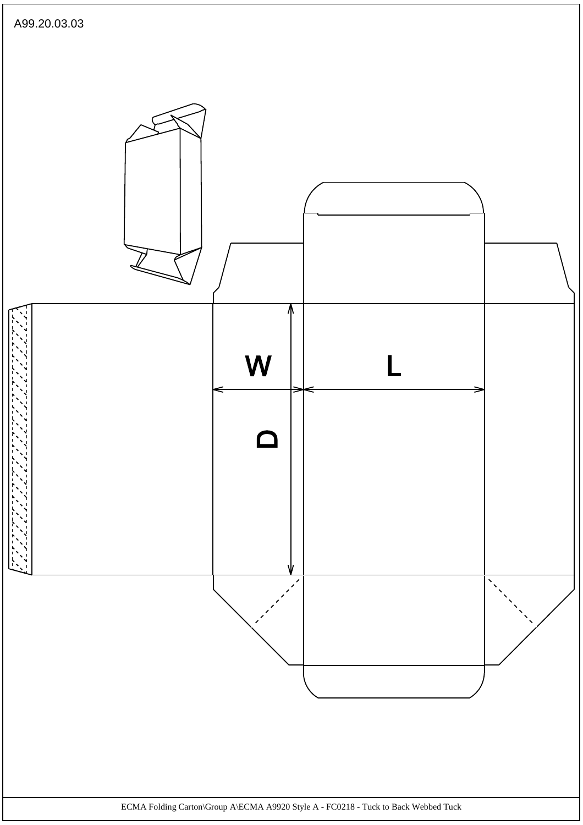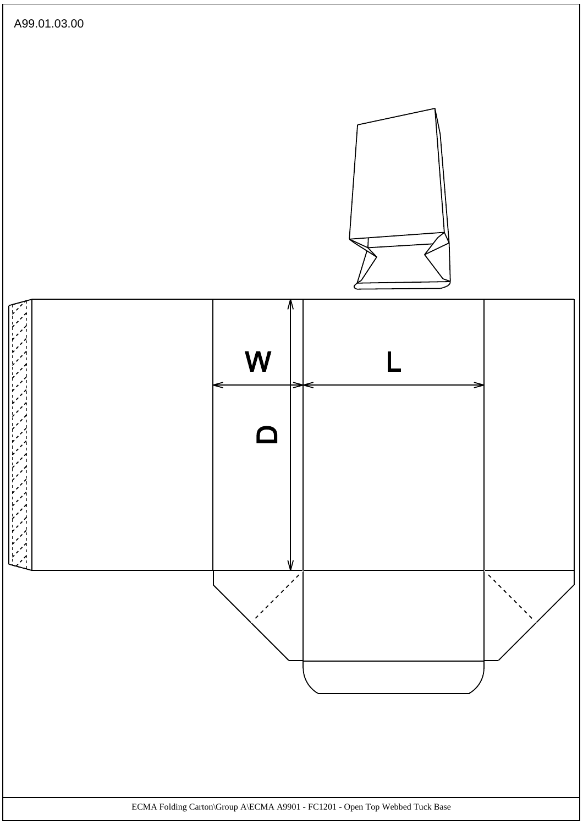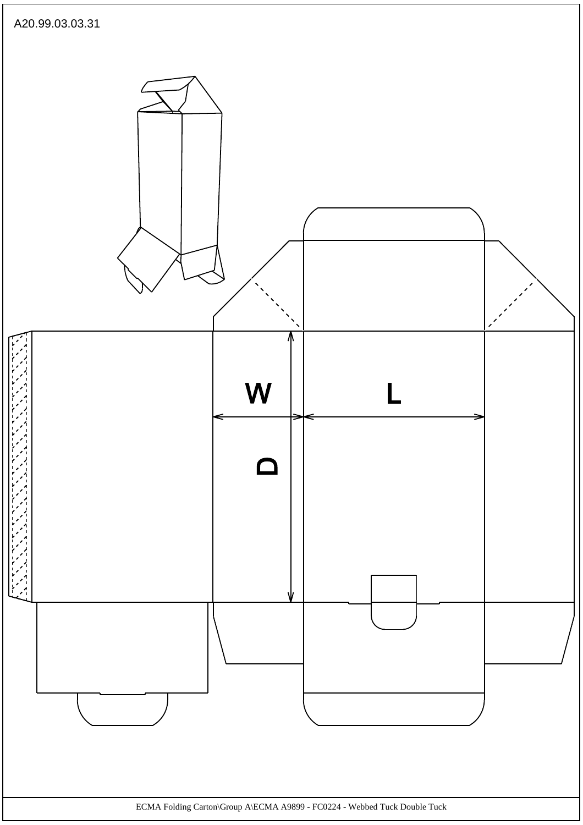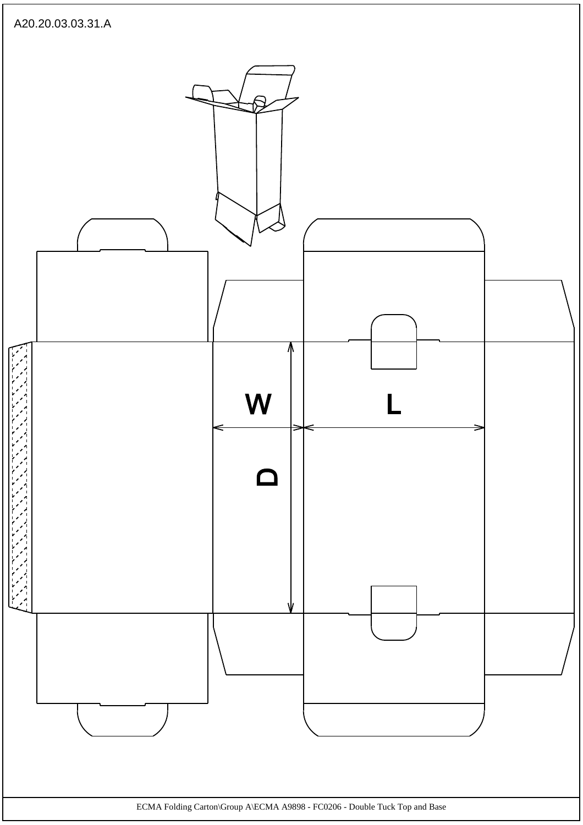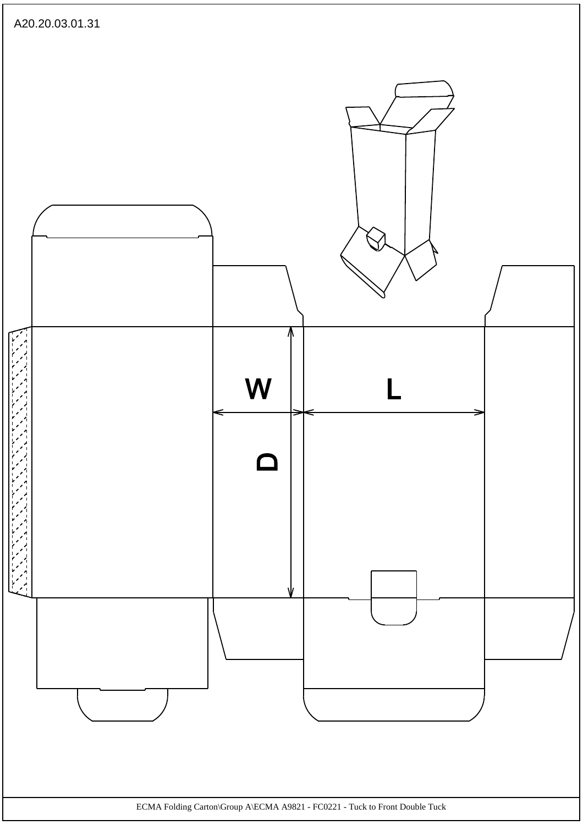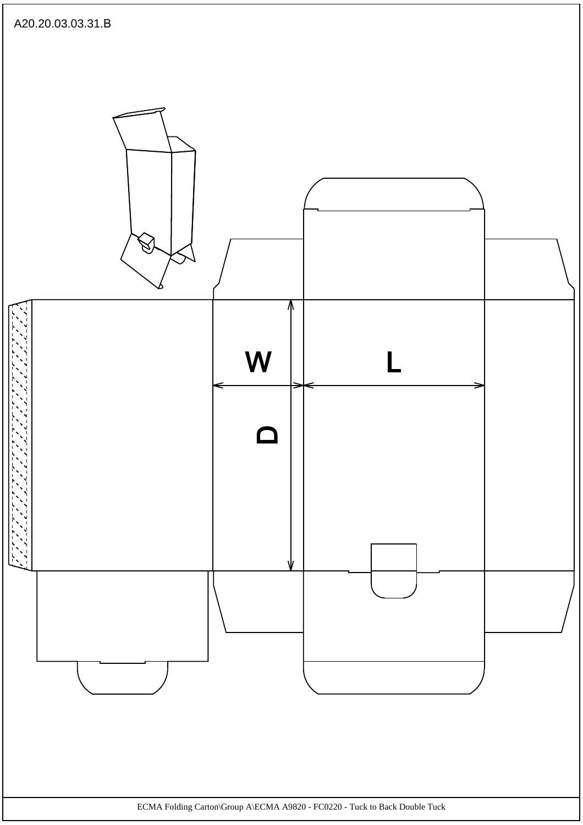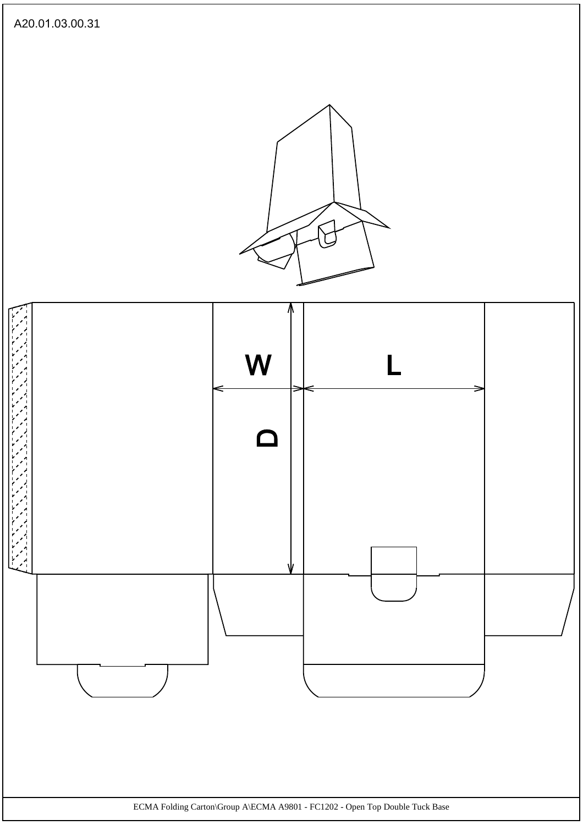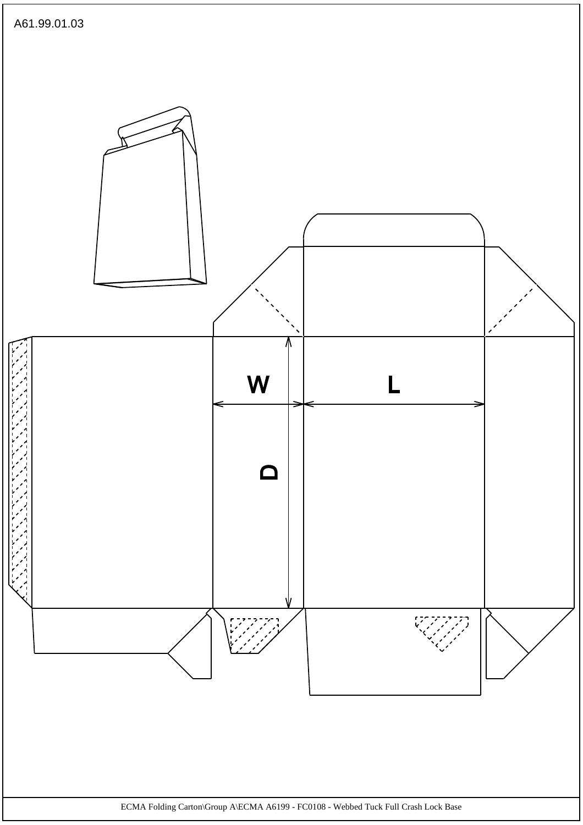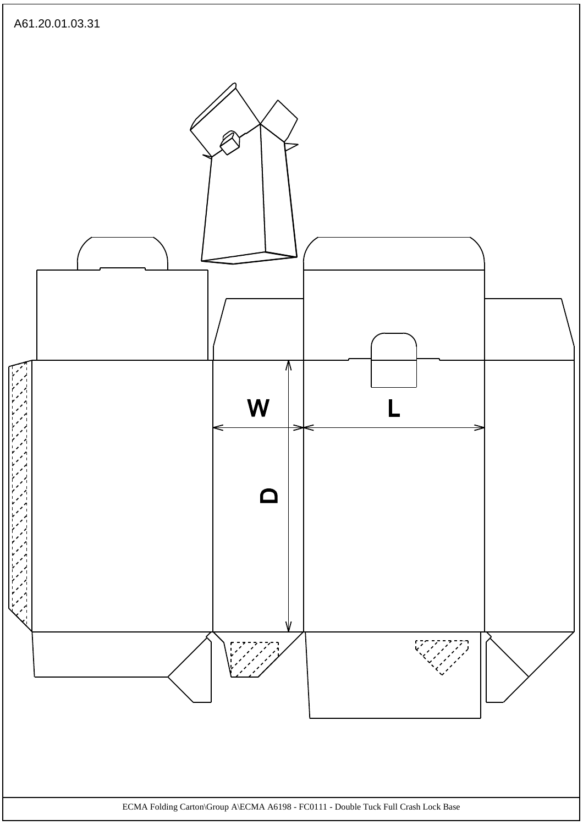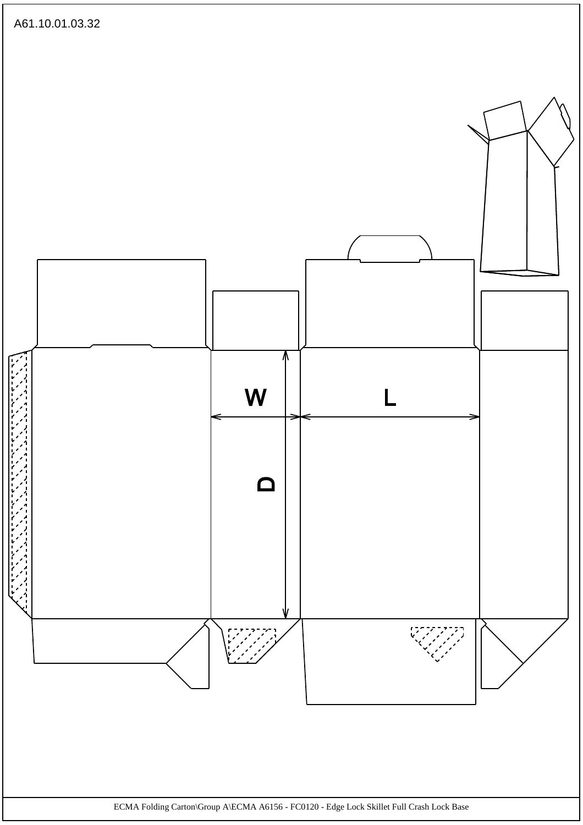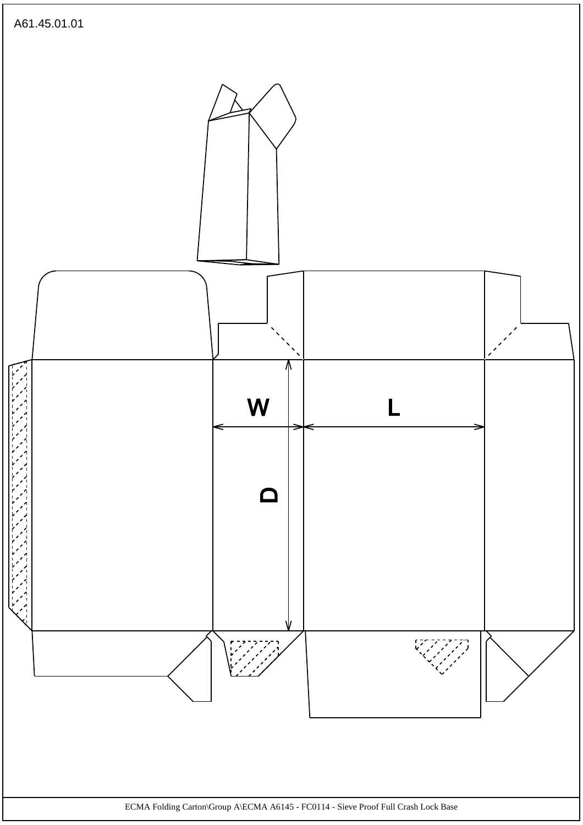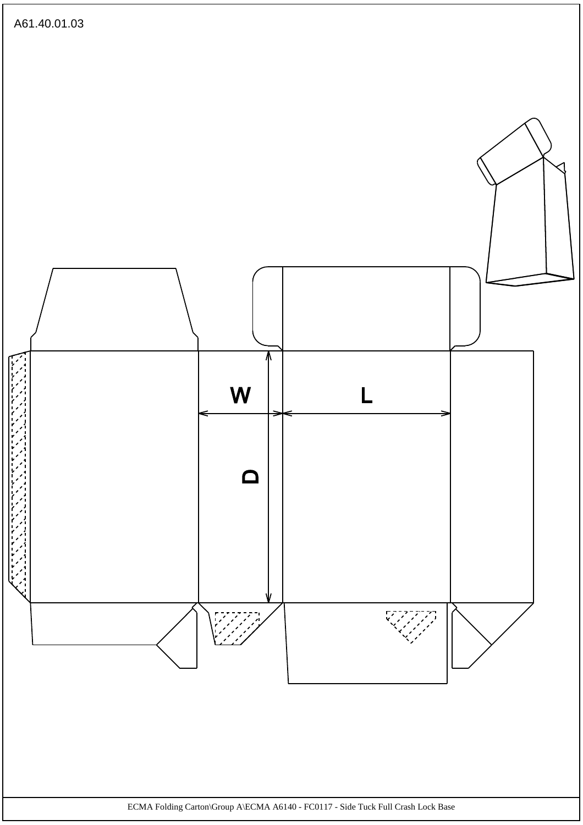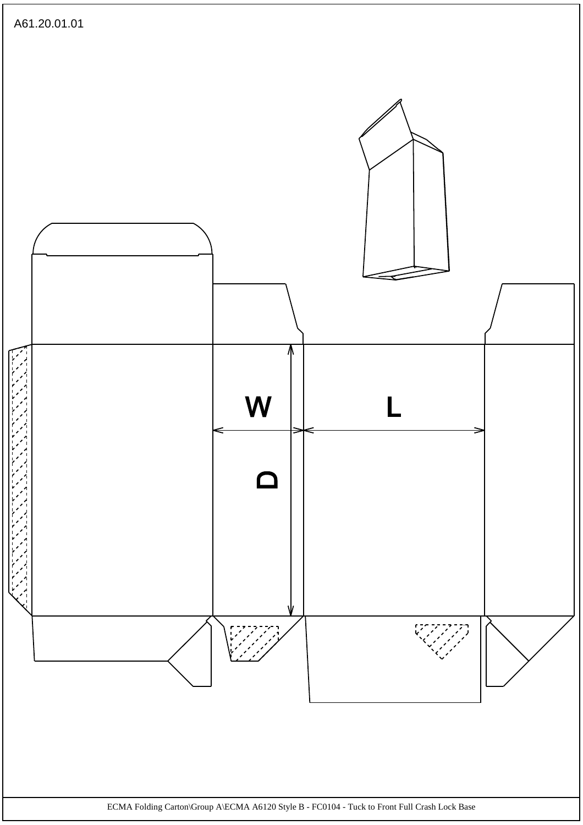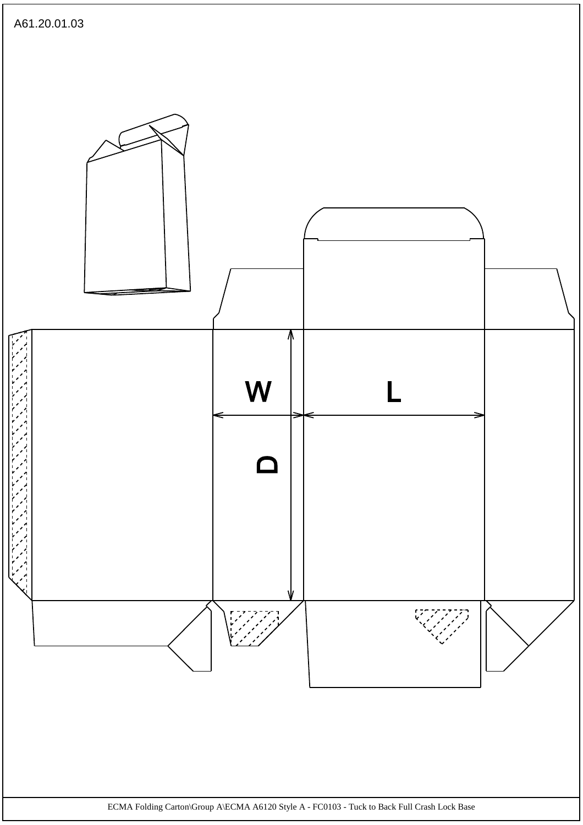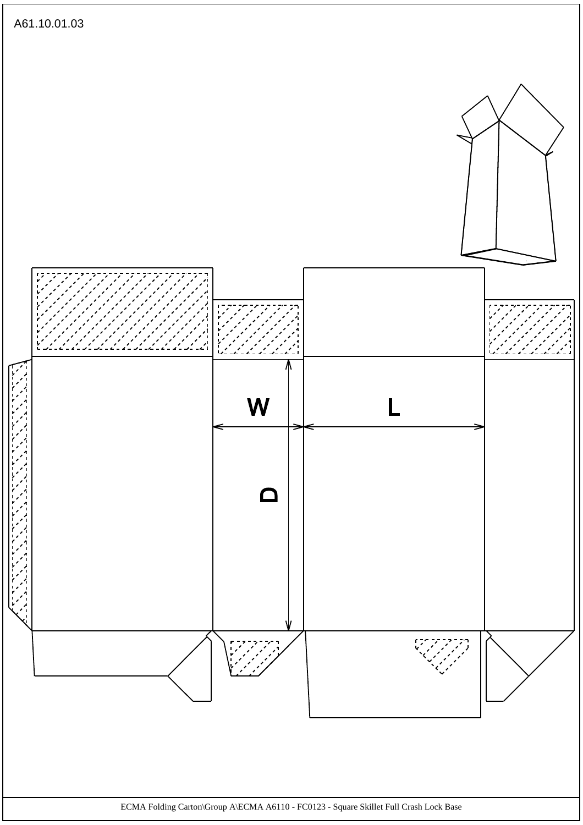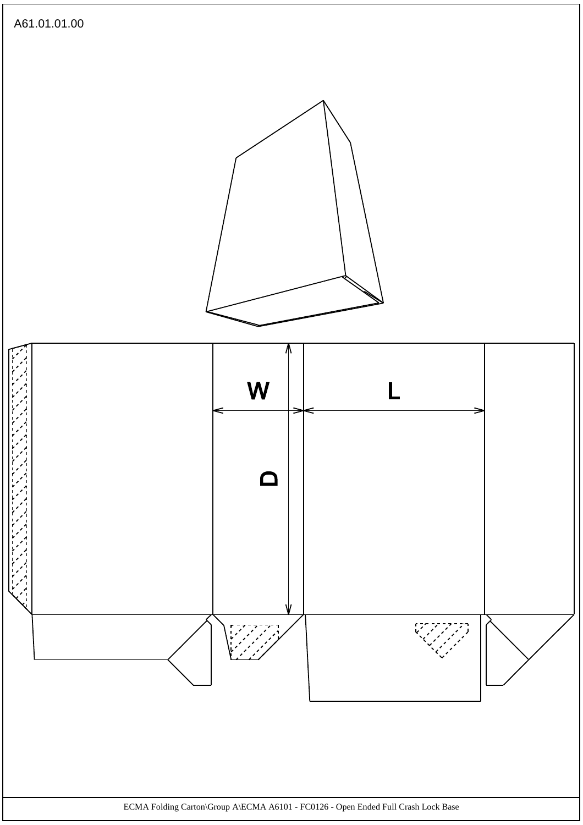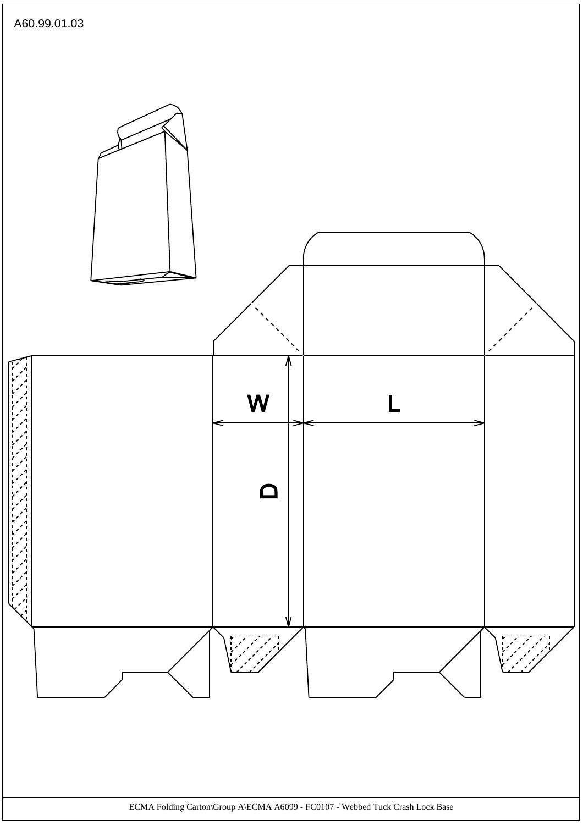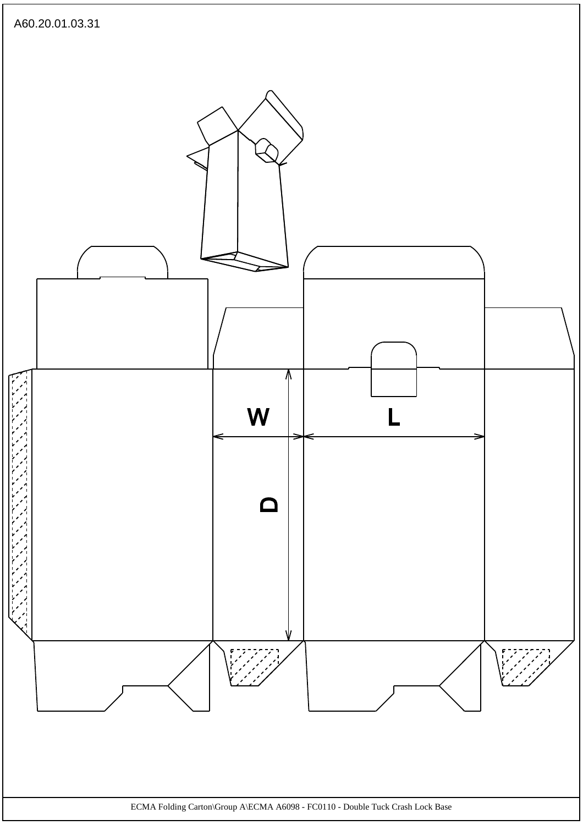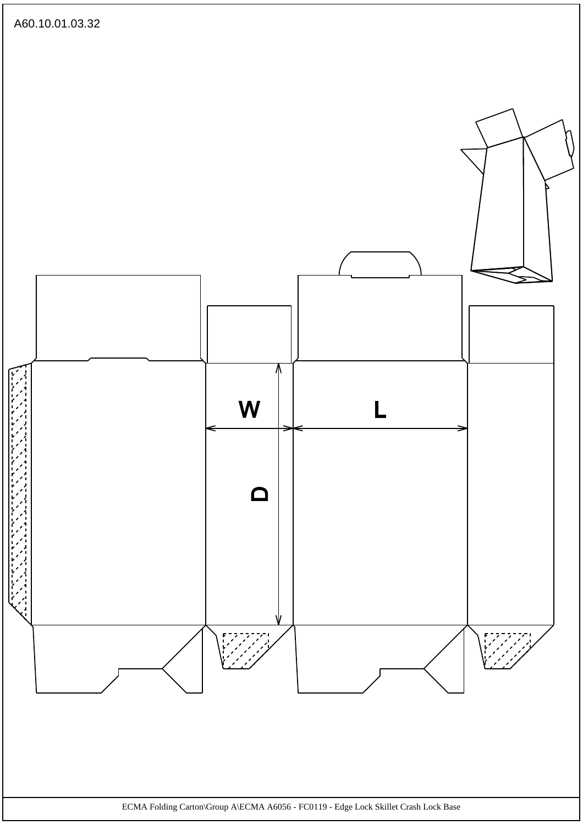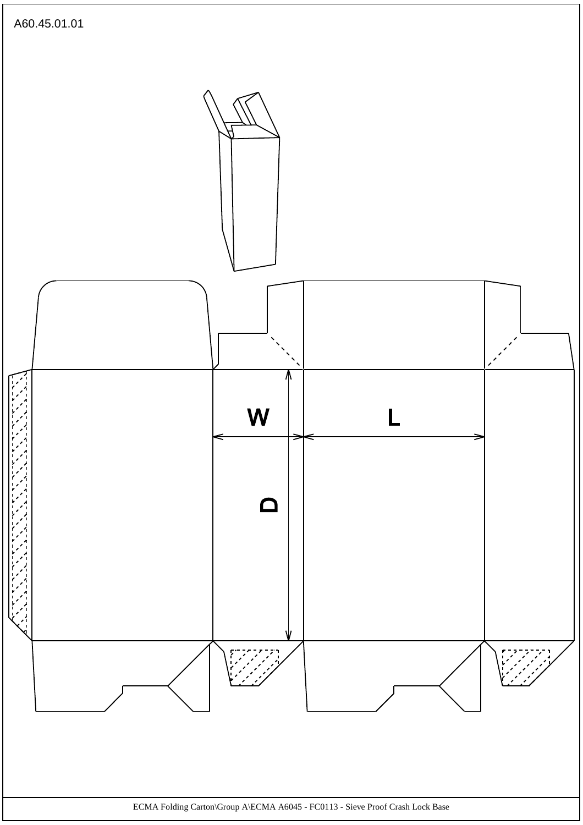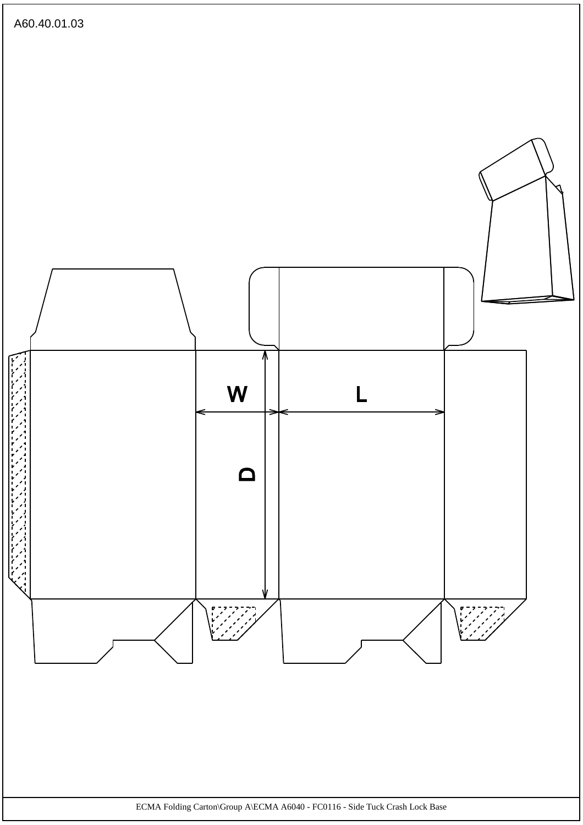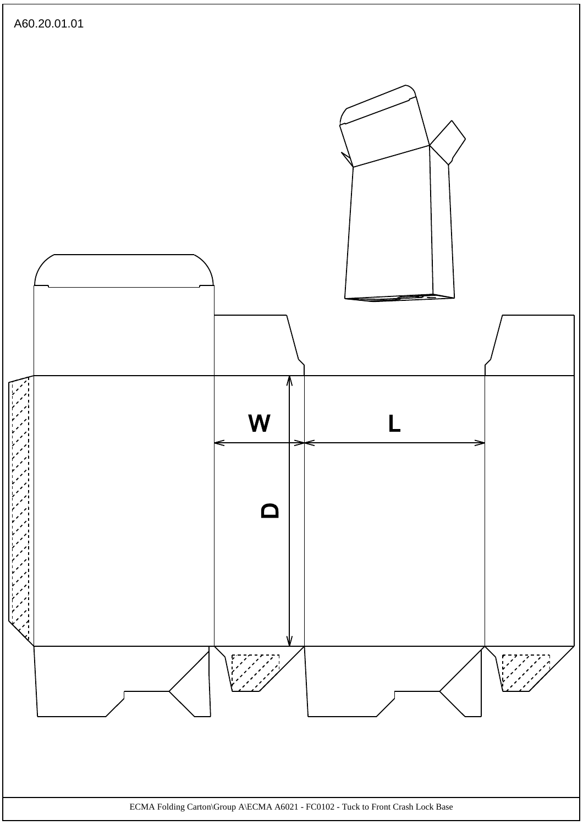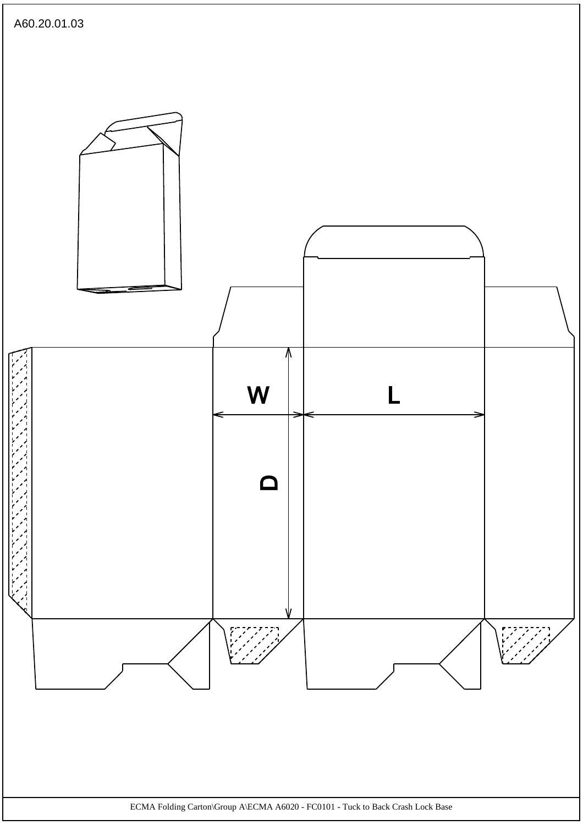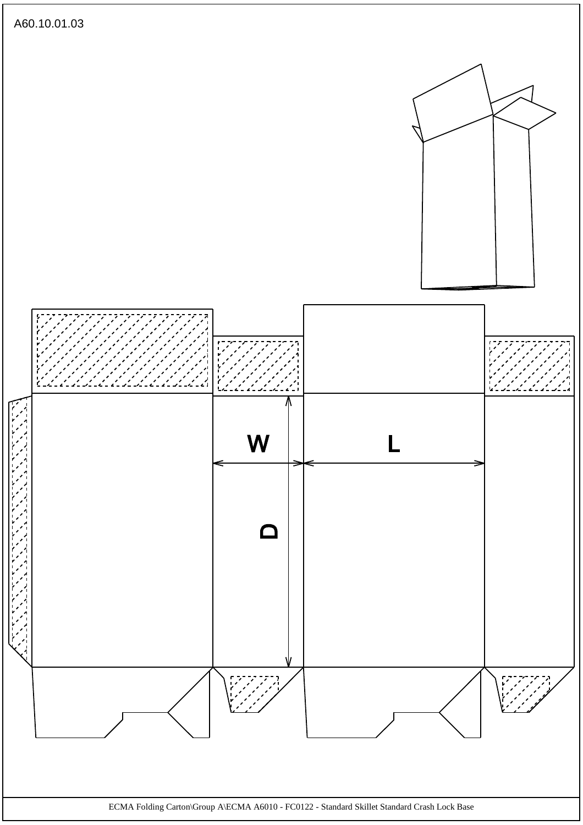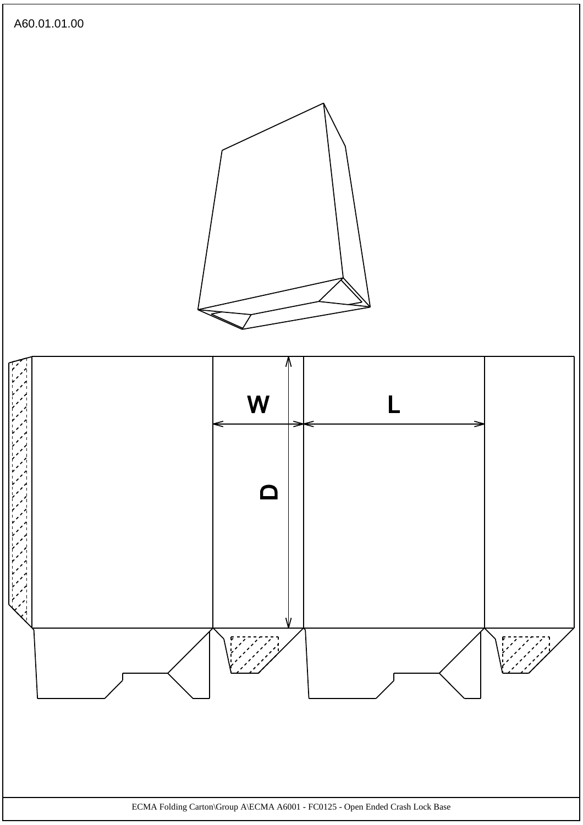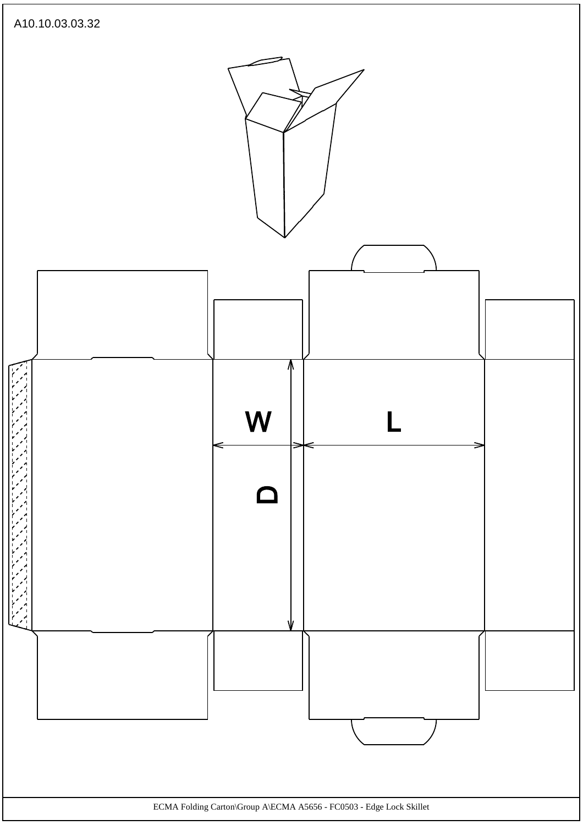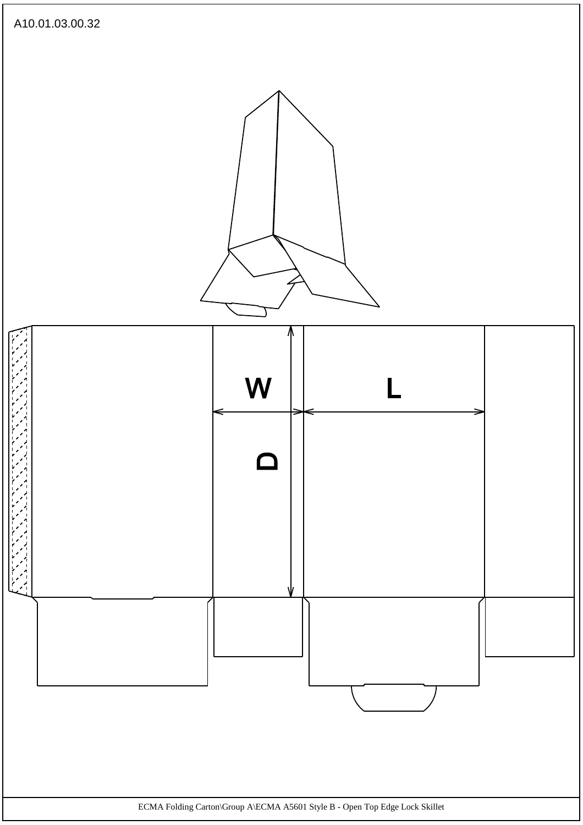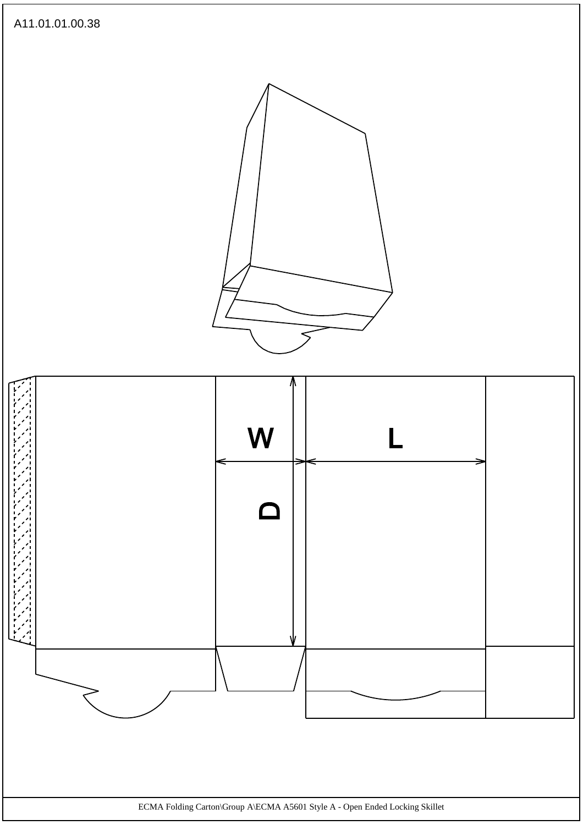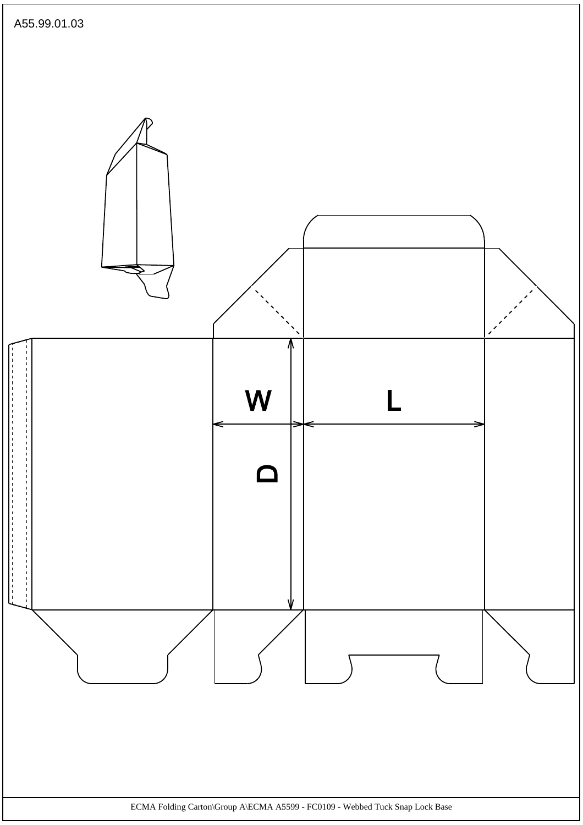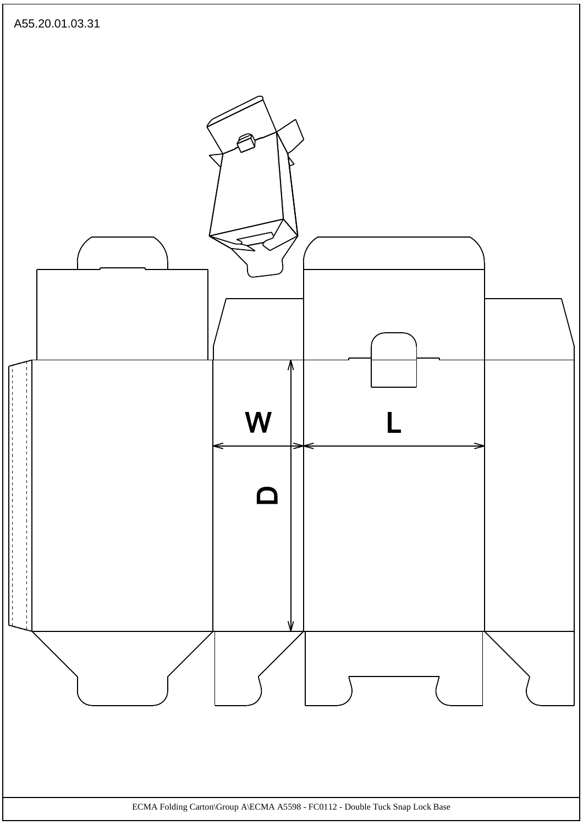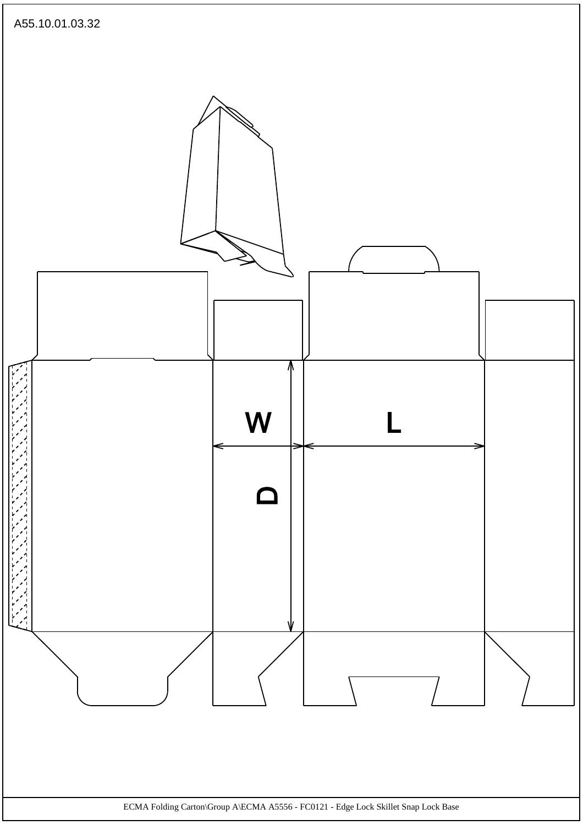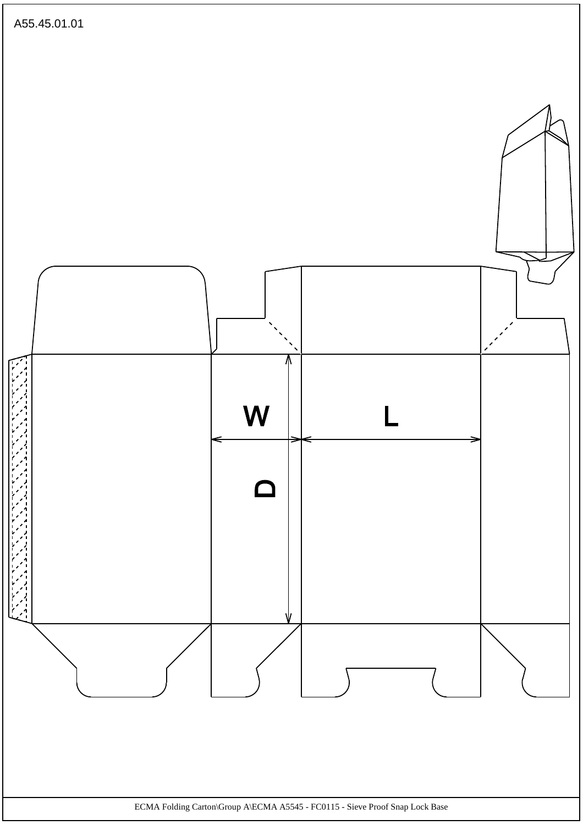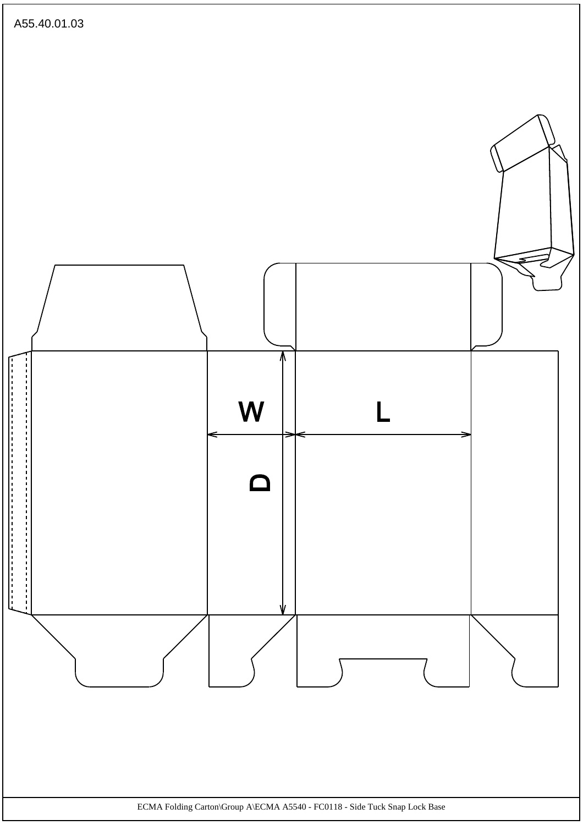![](_page_38_Figure_0.jpeg)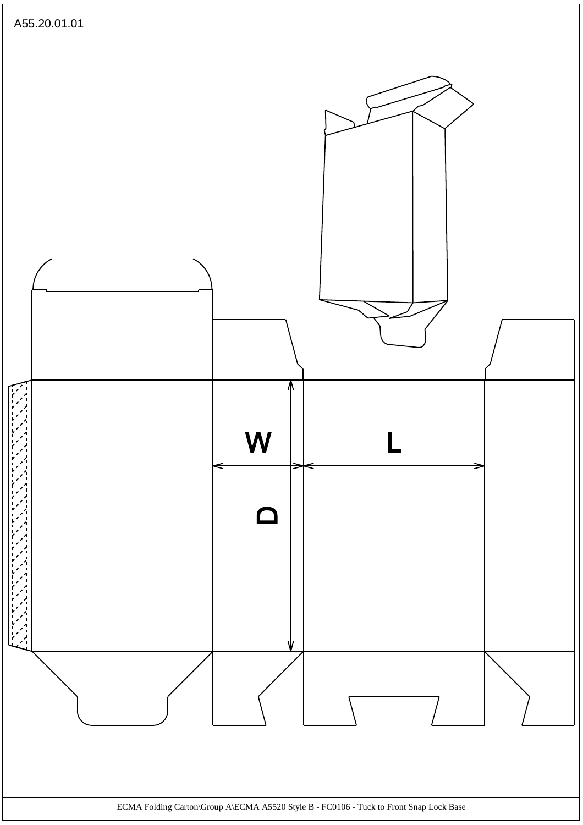![](_page_39_Figure_0.jpeg)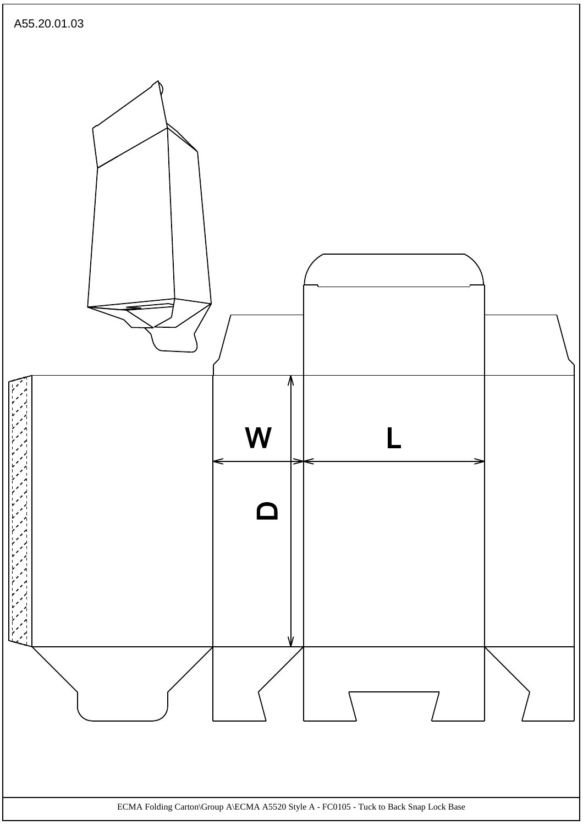![](_page_40_Figure_0.jpeg)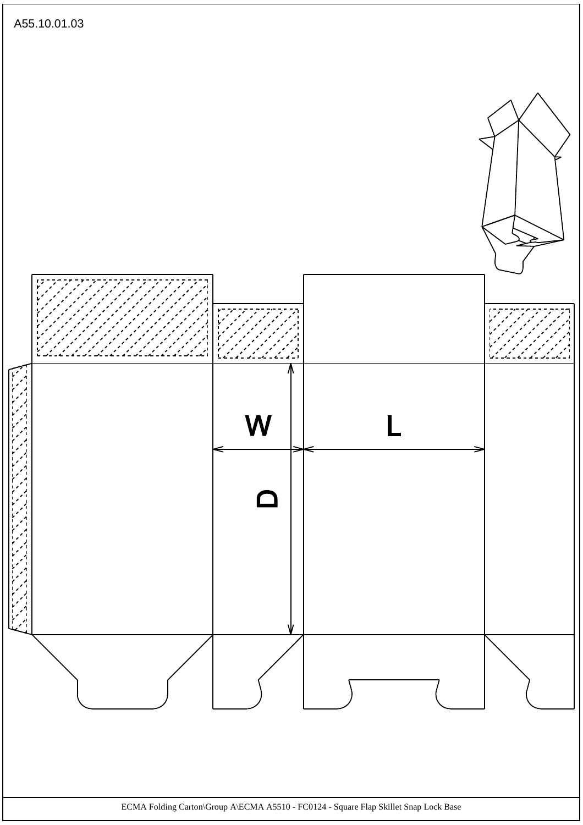![](_page_41_Figure_0.jpeg)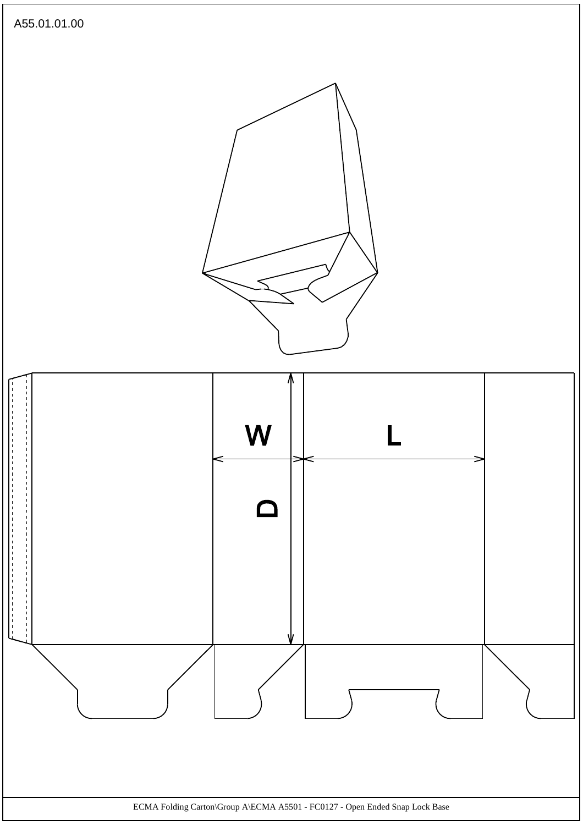![](_page_42_Figure_0.jpeg)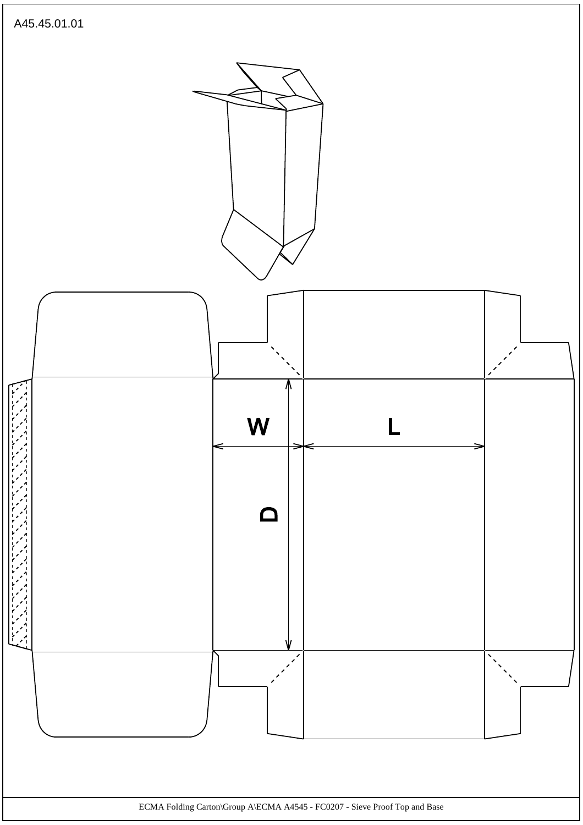![](_page_43_Figure_0.jpeg)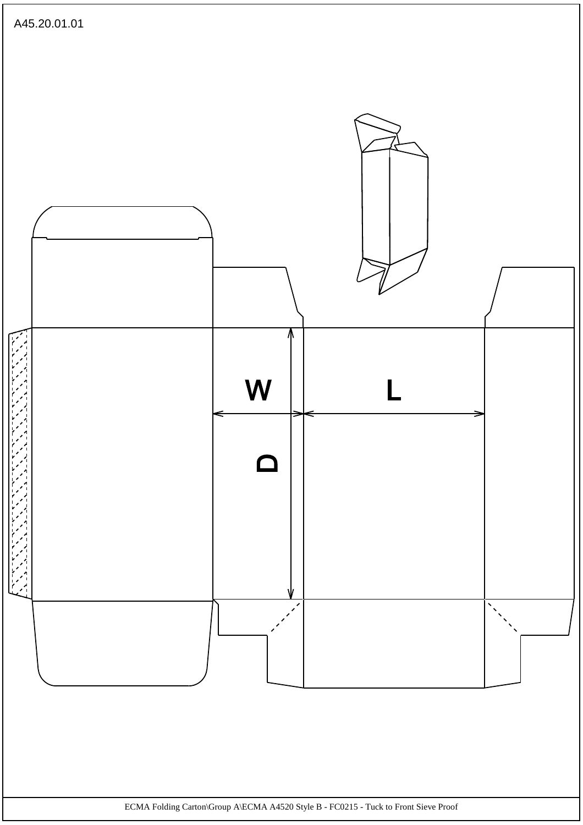![](_page_44_Figure_0.jpeg)

ECMA Folding Carton\Group A\ECMA A4520 Style B - FC0215 - Tuck to Front Sieve Proof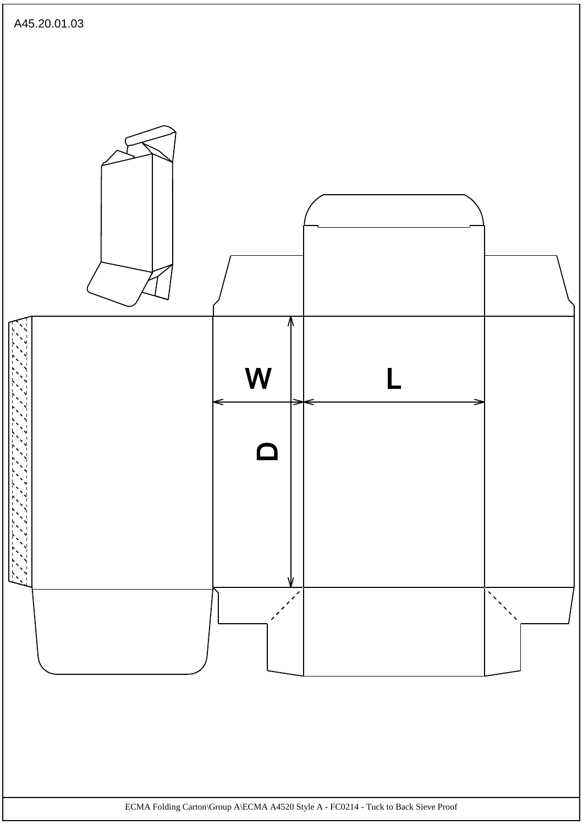![](_page_45_Figure_0.jpeg)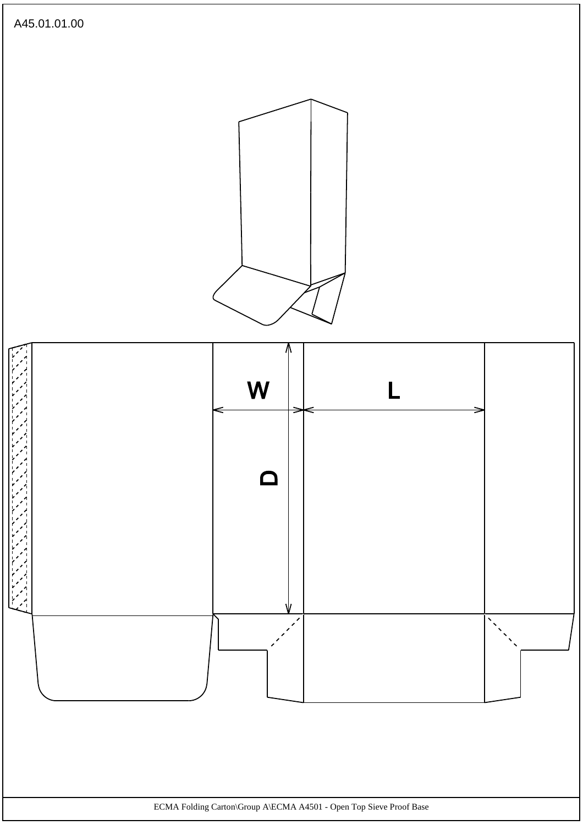![](_page_46_Figure_0.jpeg)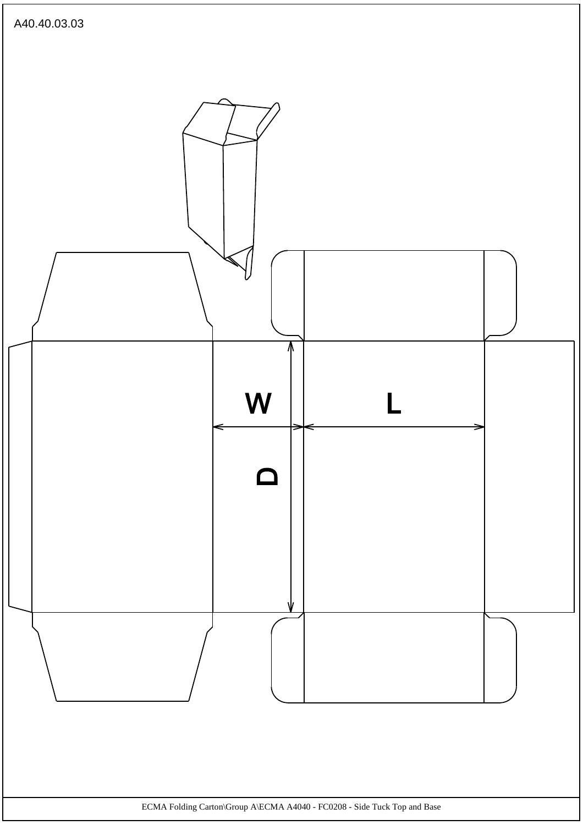![](_page_47_Figure_0.jpeg)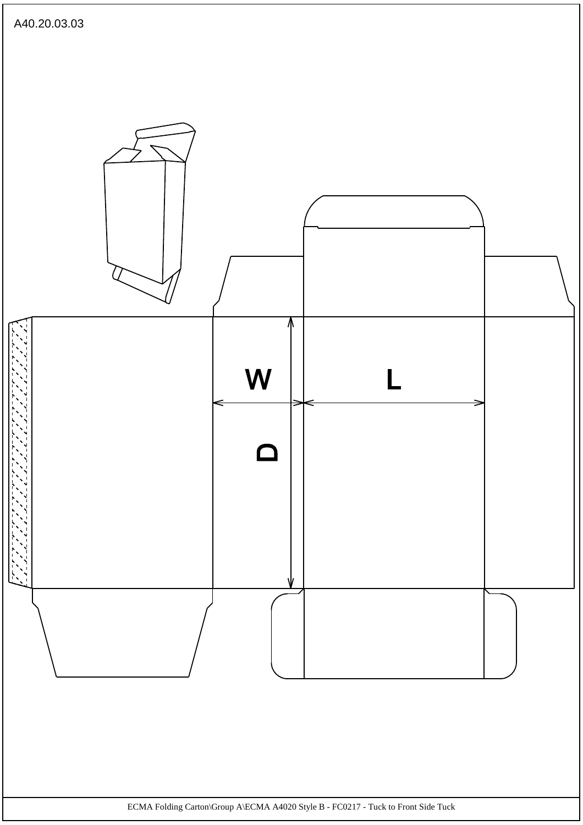![](_page_48_Figure_0.jpeg)

ECMA Folding Carton\Group A\ECMA A4020 Style B - FC0217 - Tuck to Front Side Tuck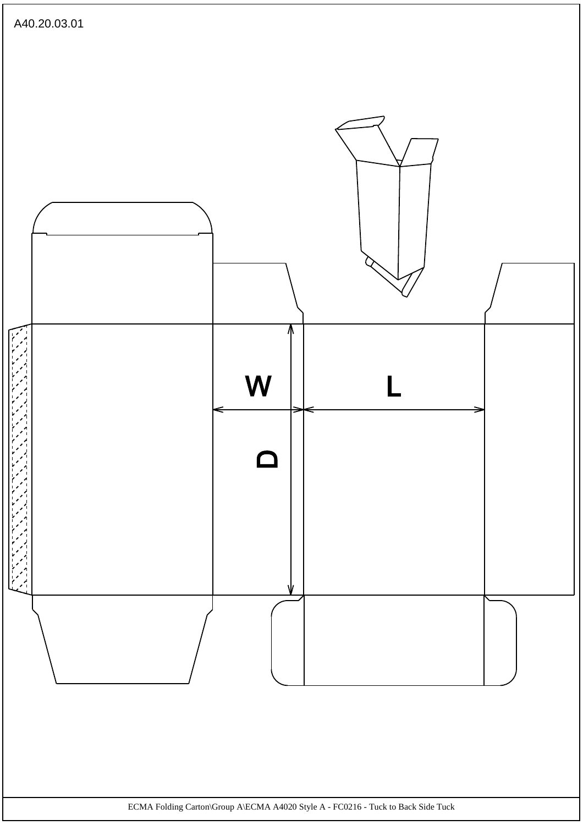![](_page_49_Figure_0.jpeg)

ECMA Folding Carton\Group A\ECMA A4020 Style A - FC0216 - Tuck to Back Side Tuck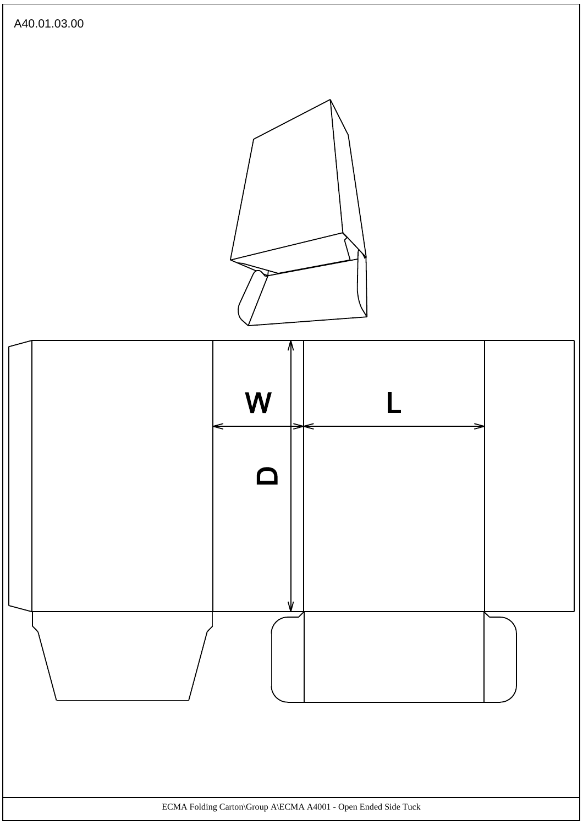![](_page_50_Figure_0.jpeg)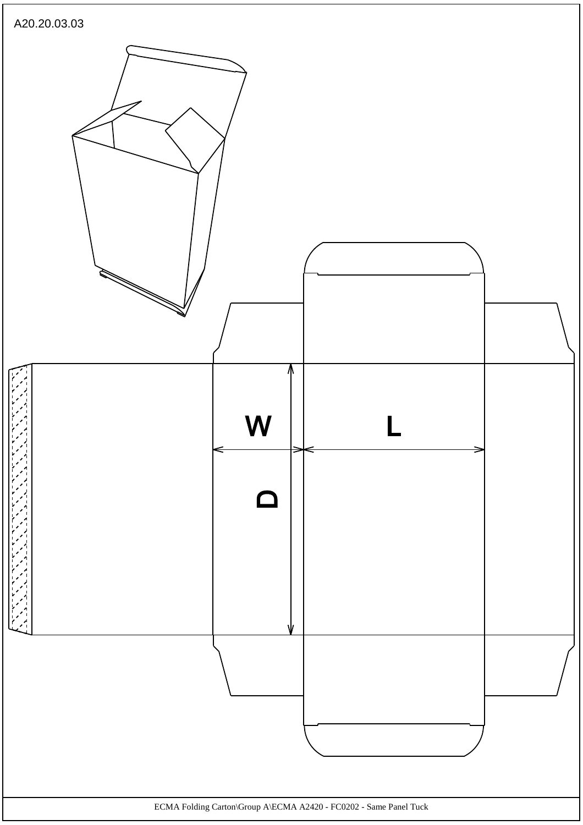![](_page_51_Figure_0.jpeg)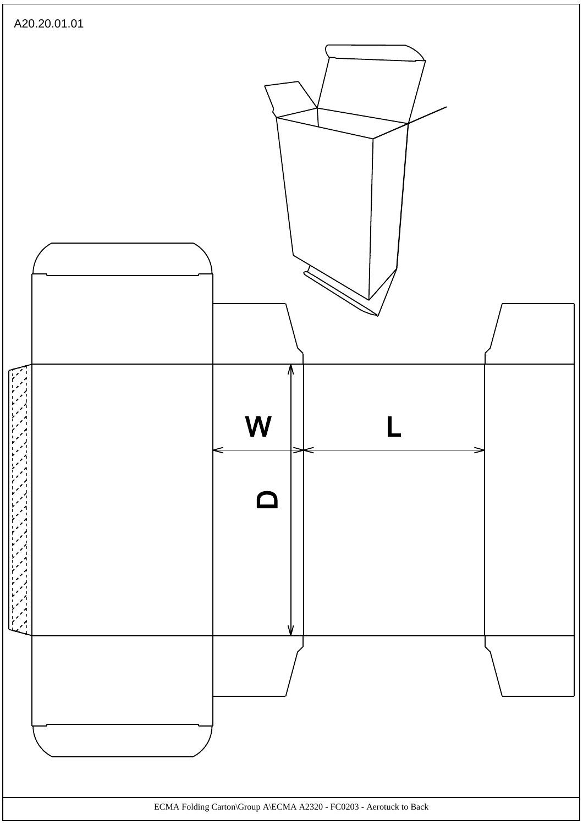![](_page_52_Figure_0.jpeg)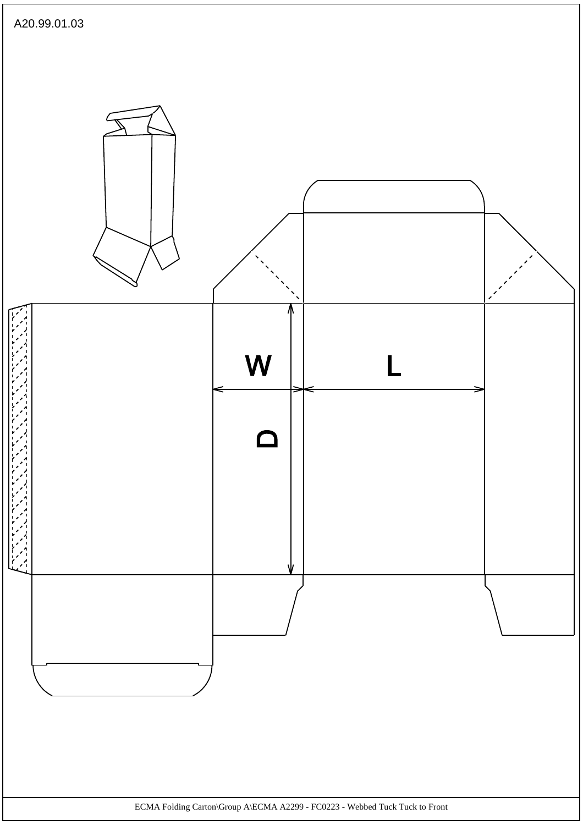![](_page_53_Figure_0.jpeg)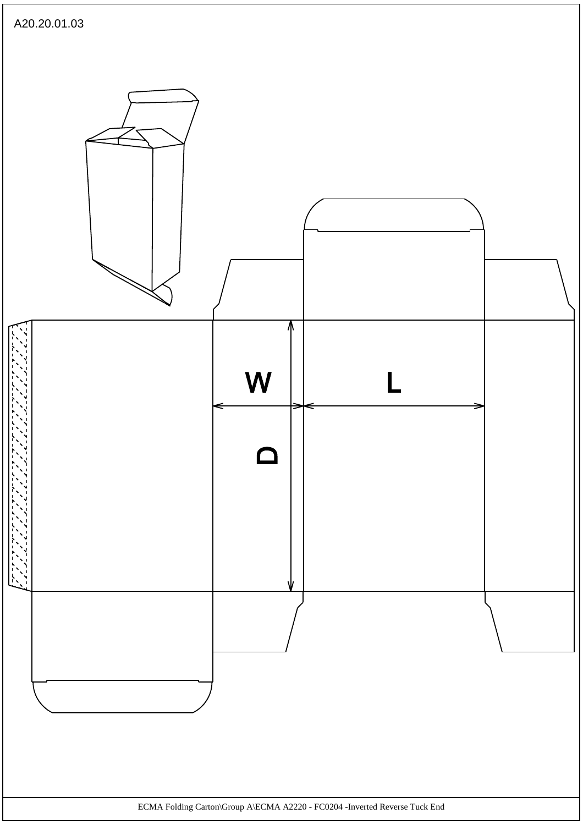![](_page_54_Figure_0.jpeg)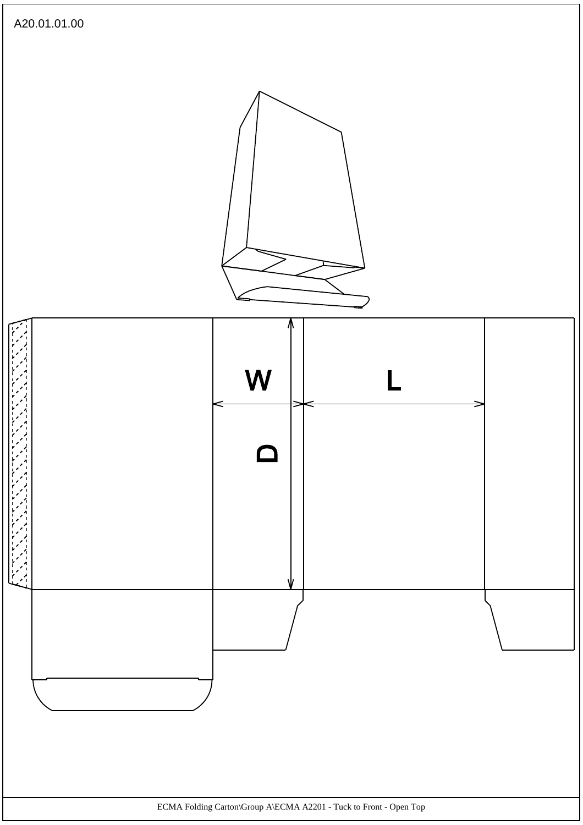![](_page_55_Figure_0.jpeg)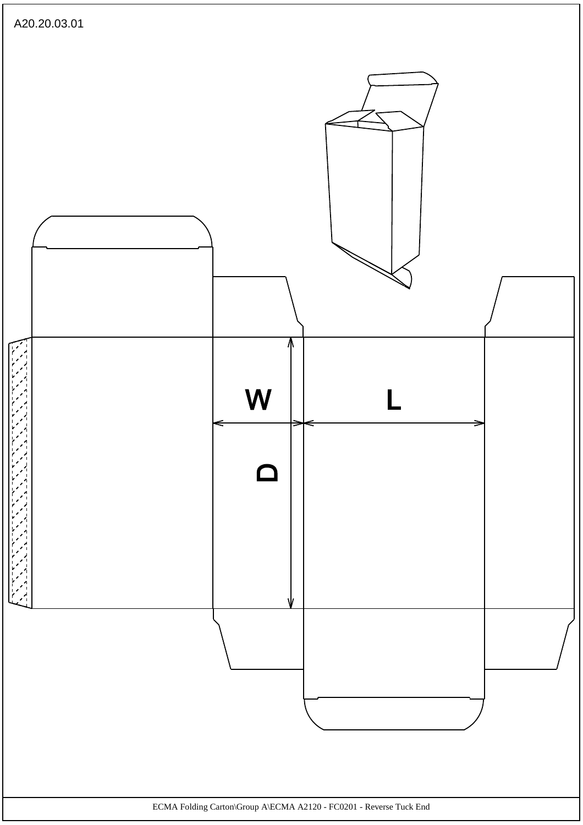![](_page_56_Figure_0.jpeg)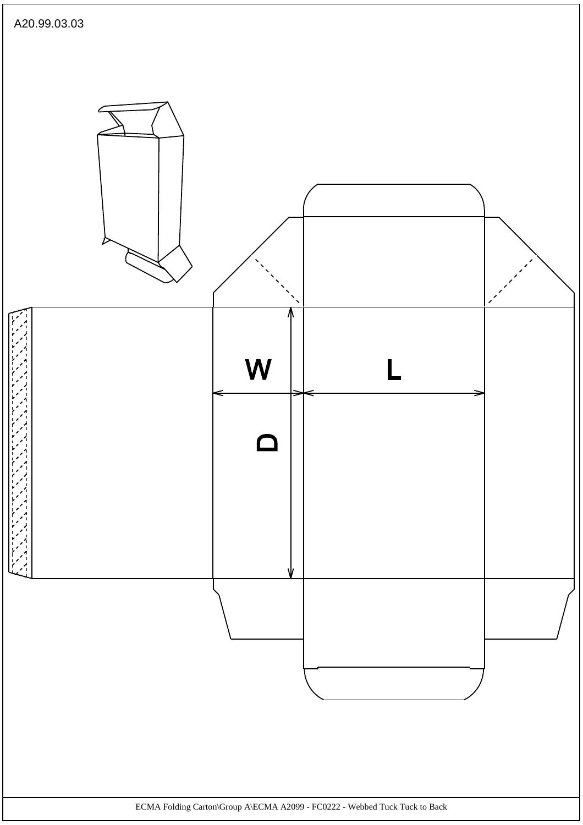![](_page_57_Figure_0.jpeg)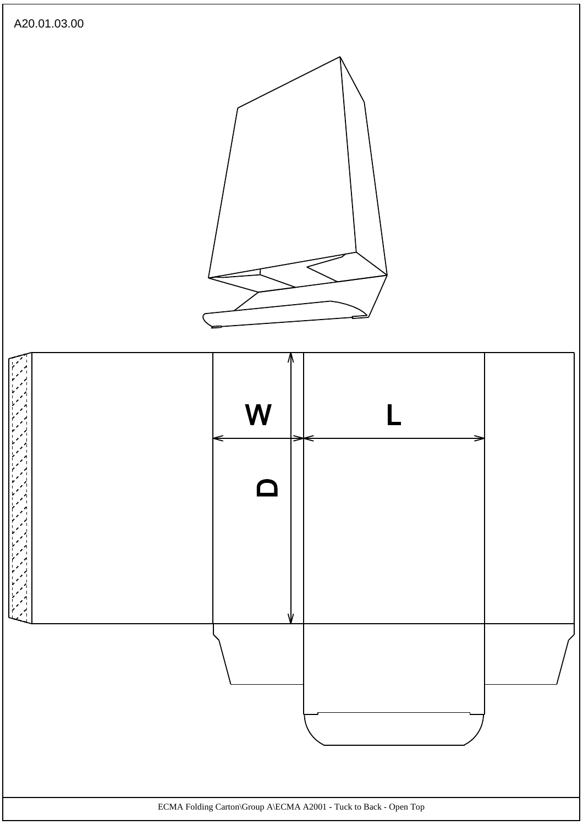![](_page_58_Figure_0.jpeg)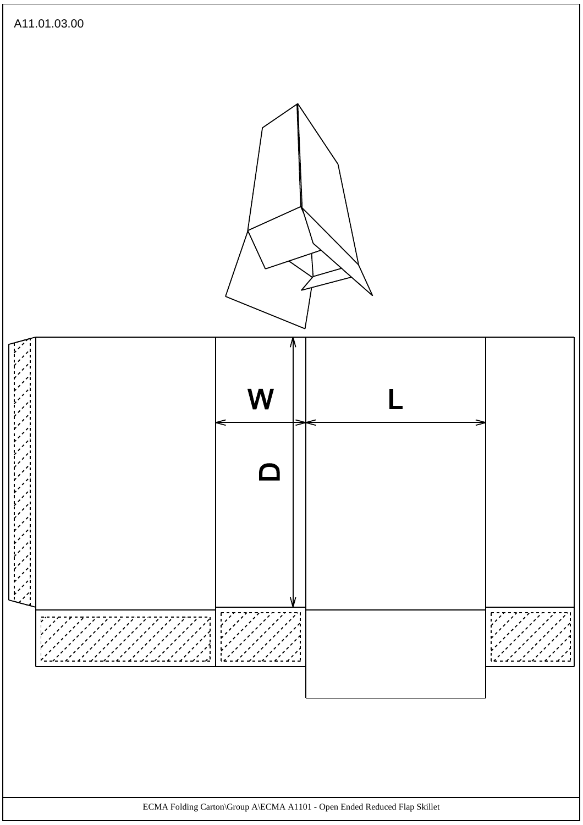![](_page_59_Figure_0.jpeg)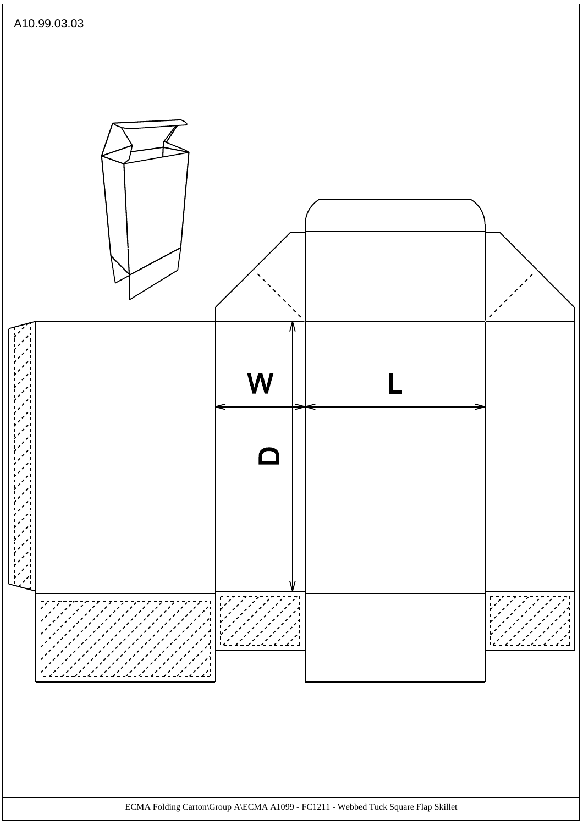![](_page_60_Figure_0.jpeg)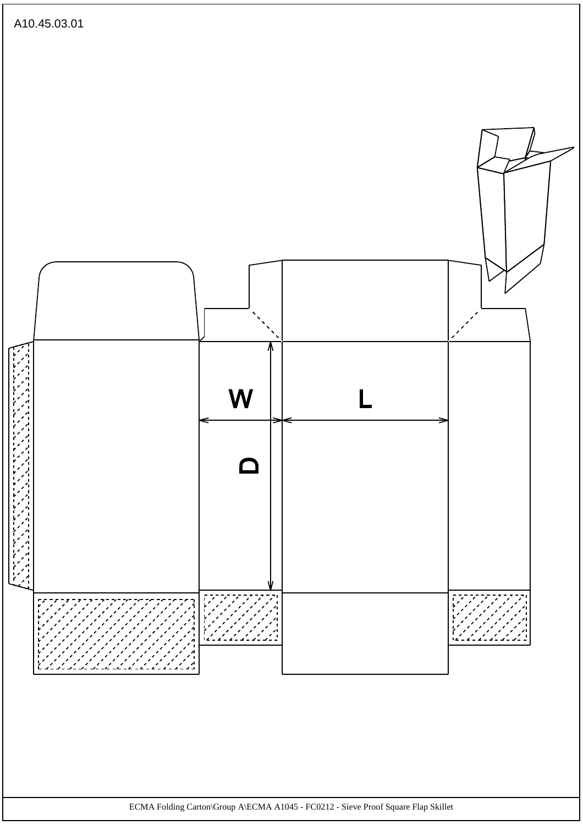![](_page_61_Figure_0.jpeg)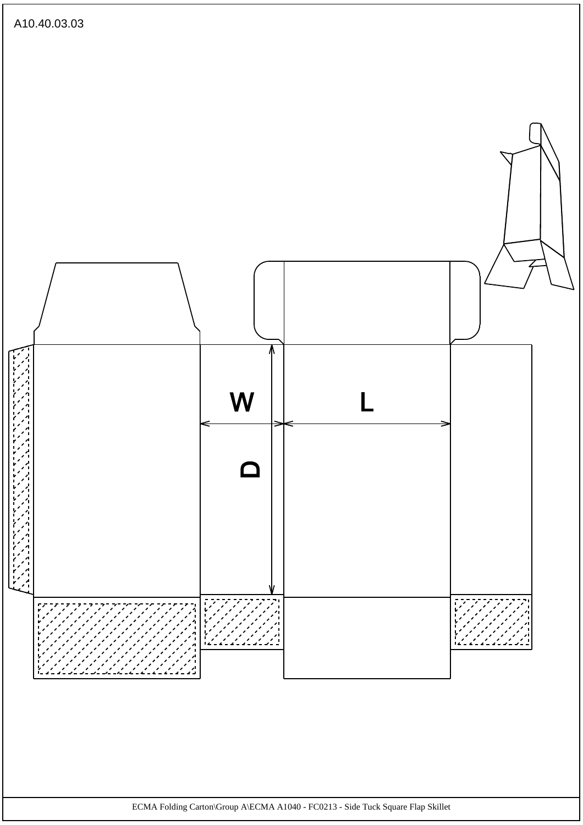![](_page_62_Figure_0.jpeg)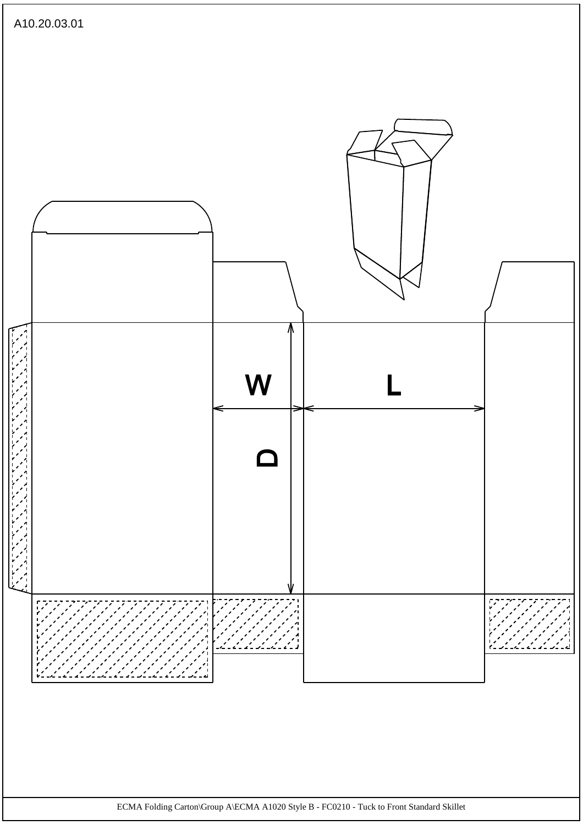![](_page_63_Figure_0.jpeg)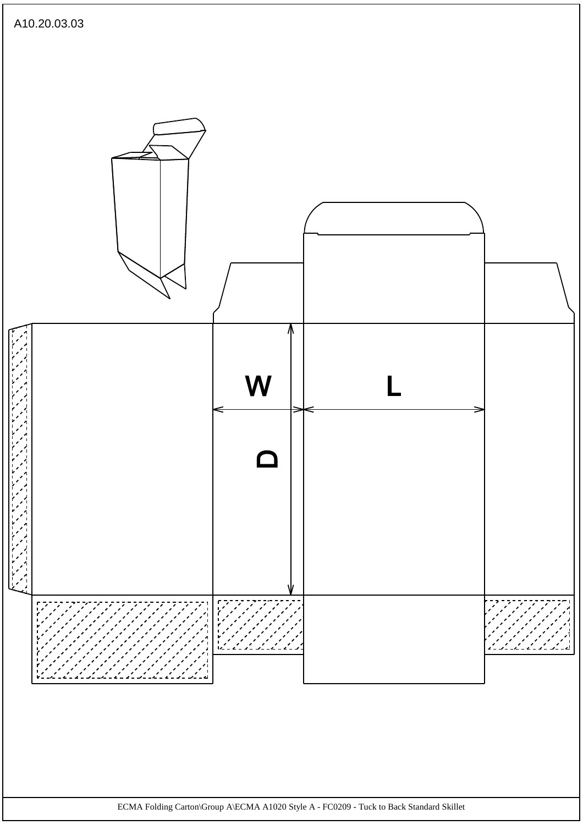![](_page_64_Figure_0.jpeg)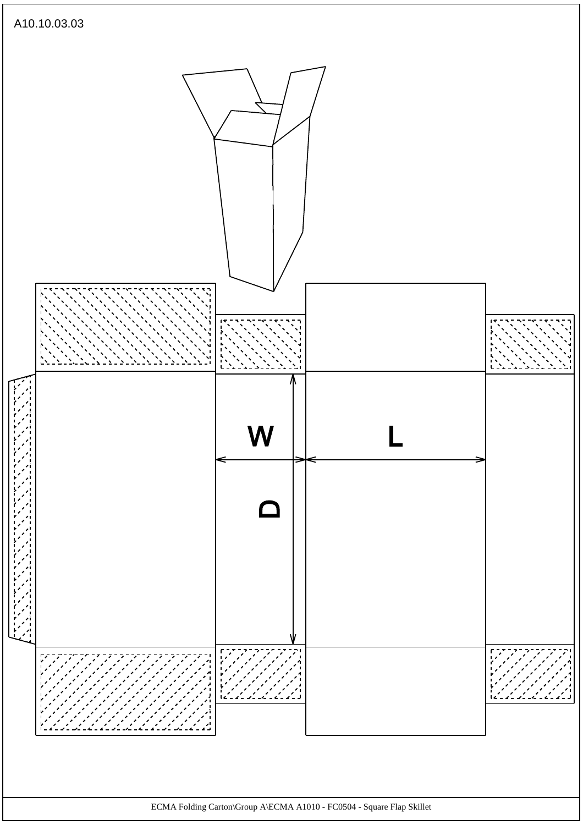![](_page_65_Figure_0.jpeg)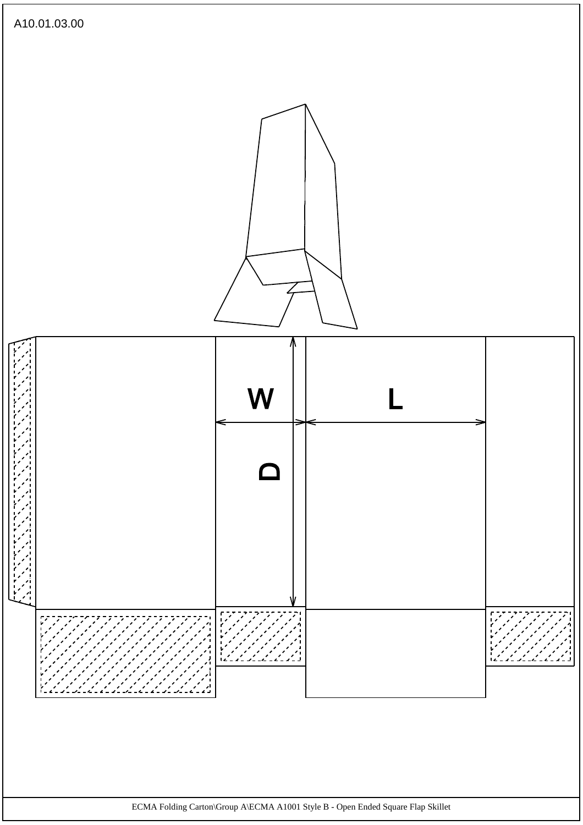![](_page_66_Figure_0.jpeg)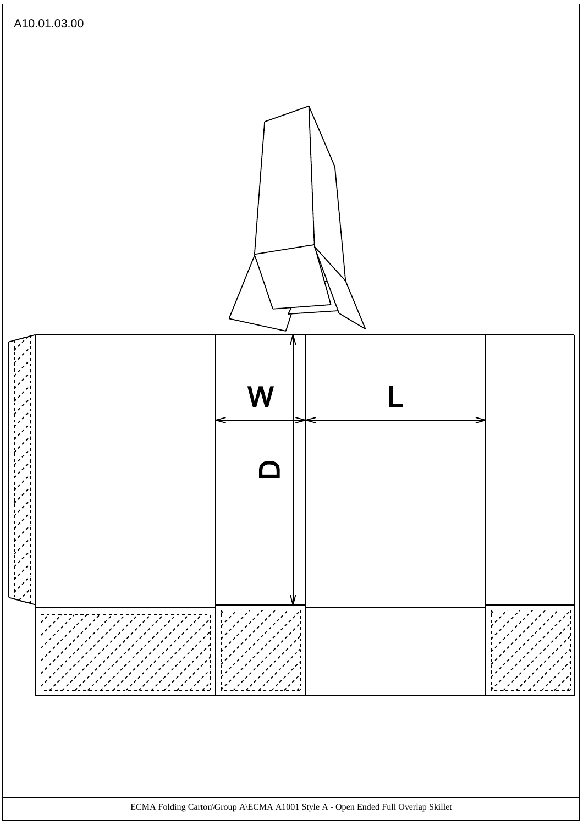![](_page_67_Figure_0.jpeg)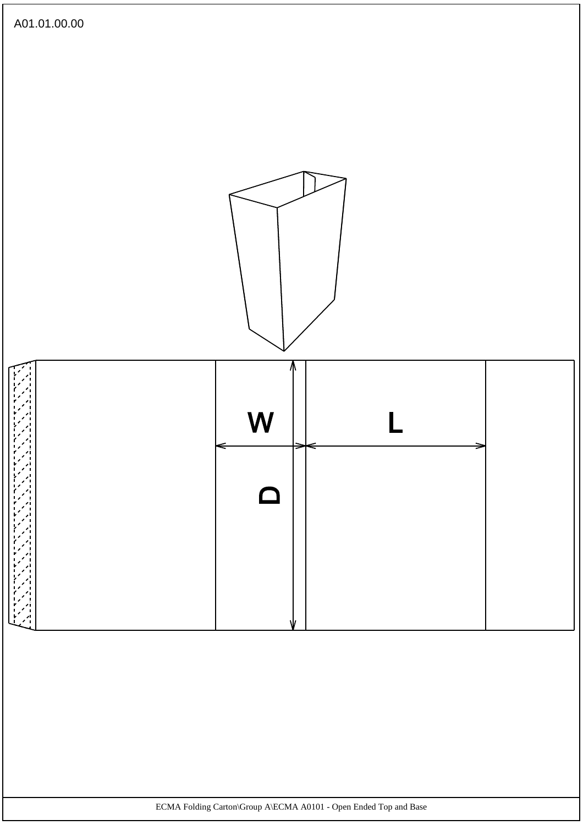![](_page_68_Figure_0.jpeg)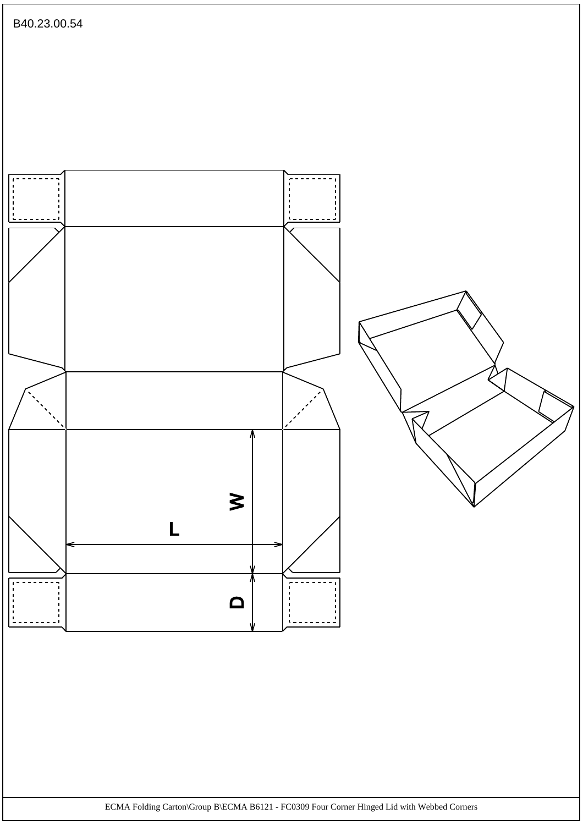![](_page_69_Figure_0.jpeg)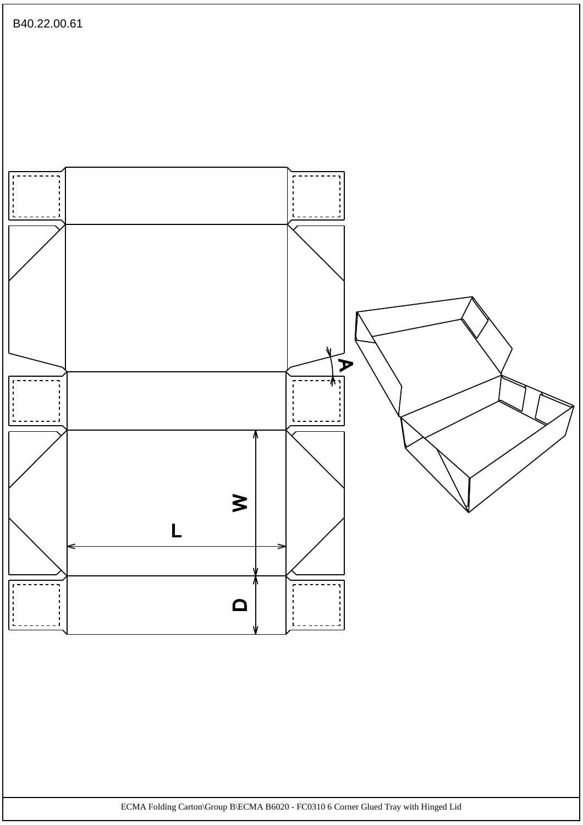![](_page_70_Figure_0.jpeg)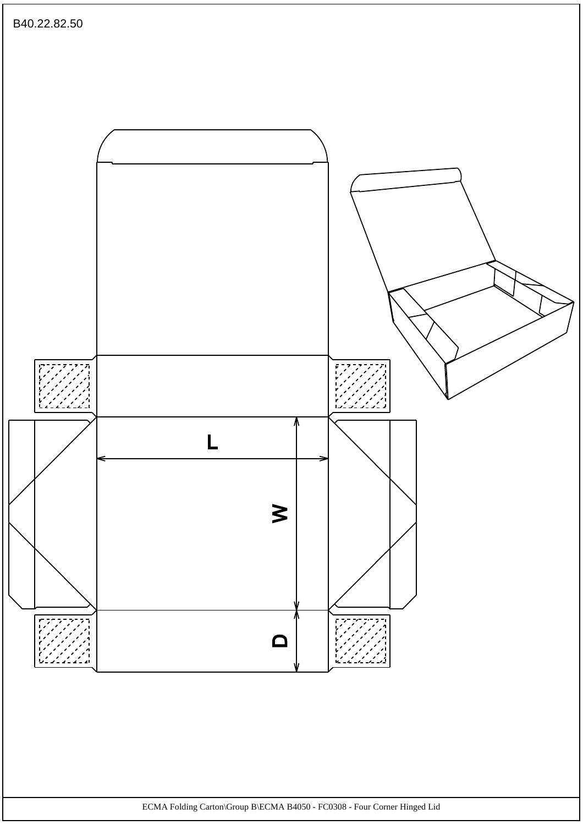![](_page_71_Figure_0.jpeg)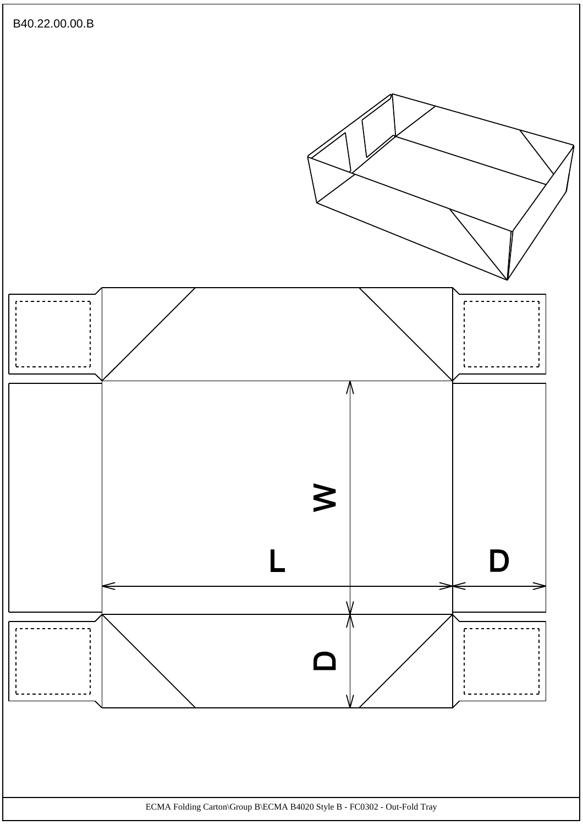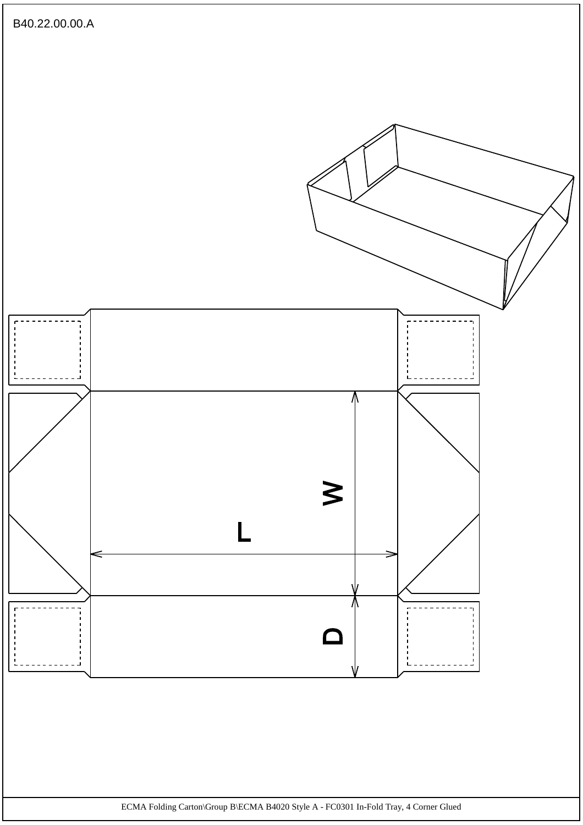

ECMA Folding Carton\Group B\ECMA B4020 Style A - FC0301 In-Fold Tray, 4 Corner Glued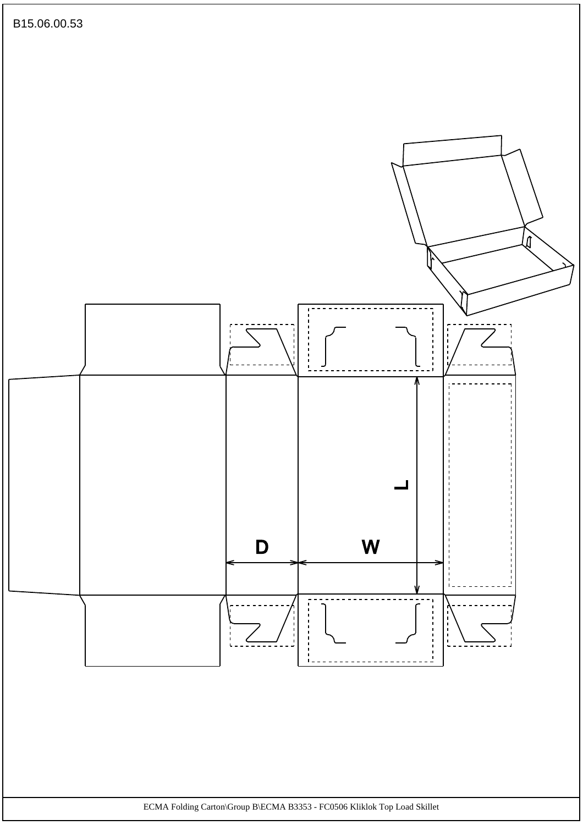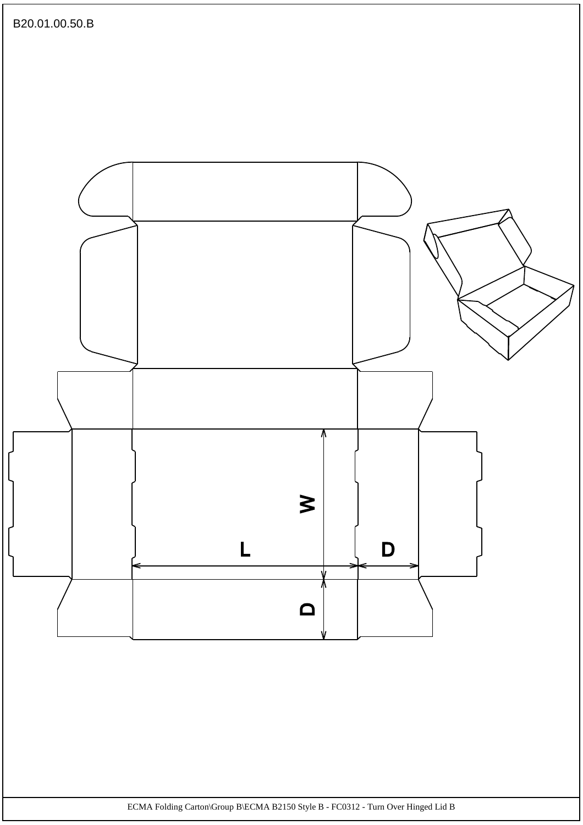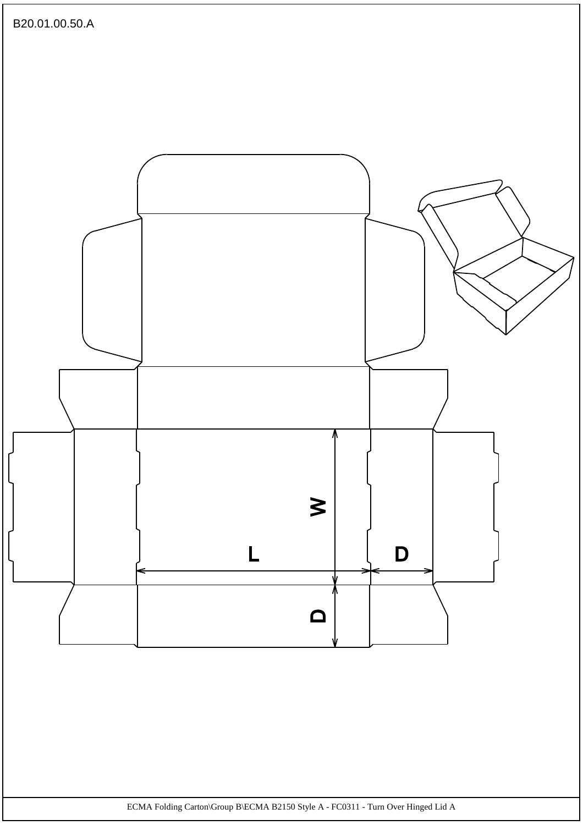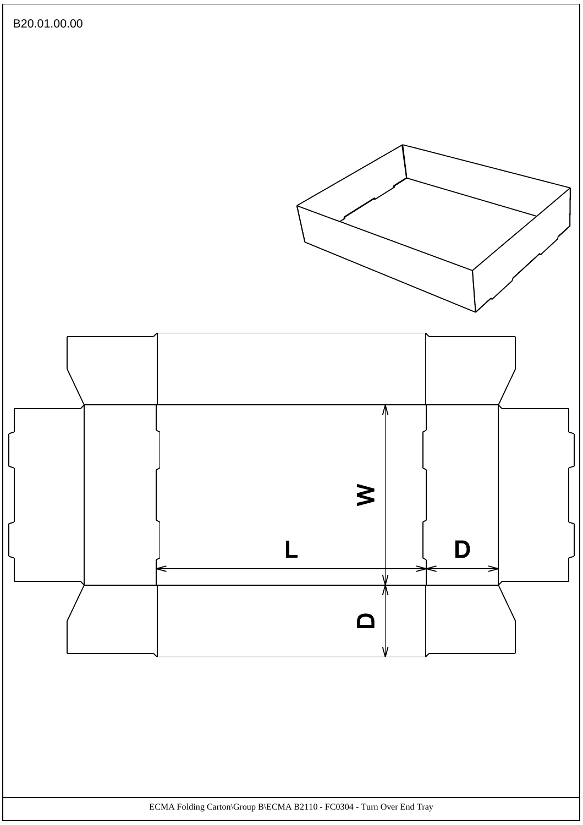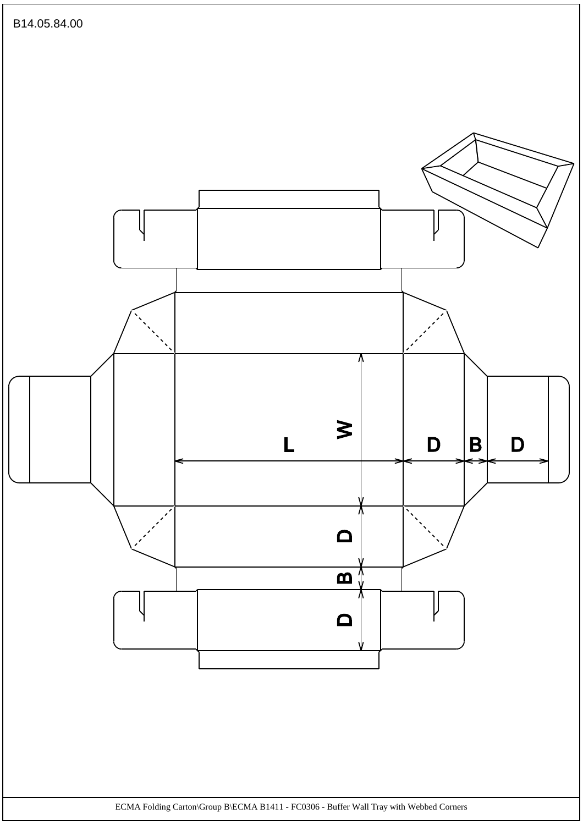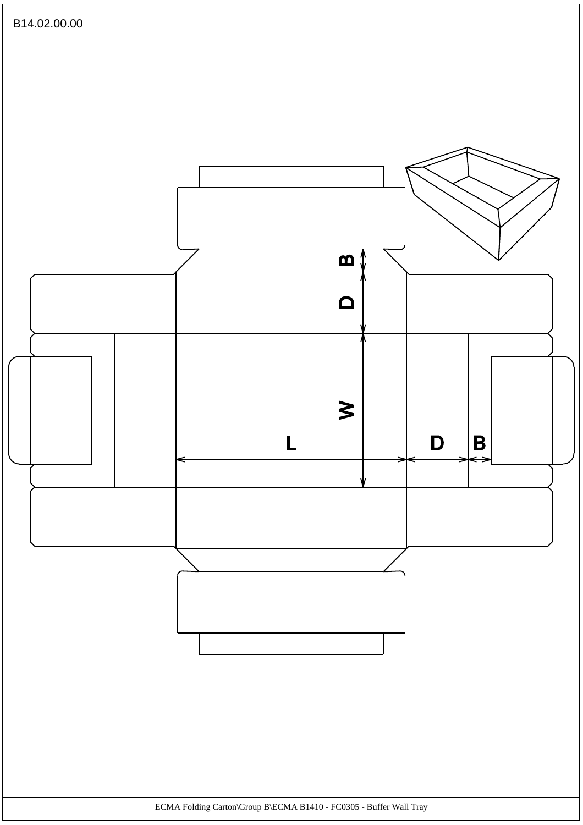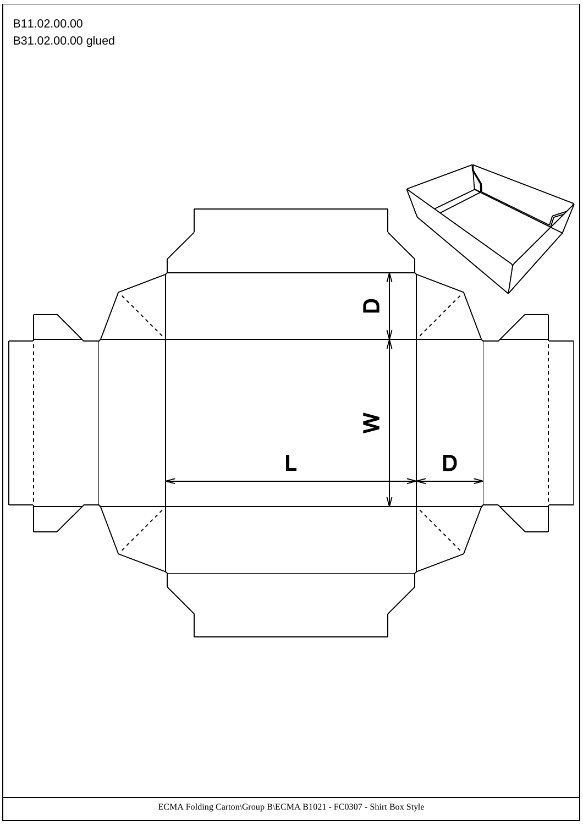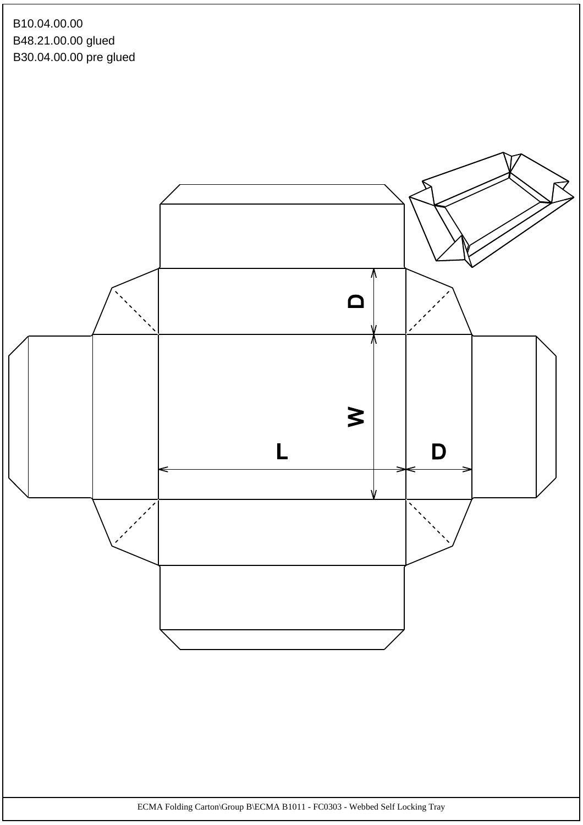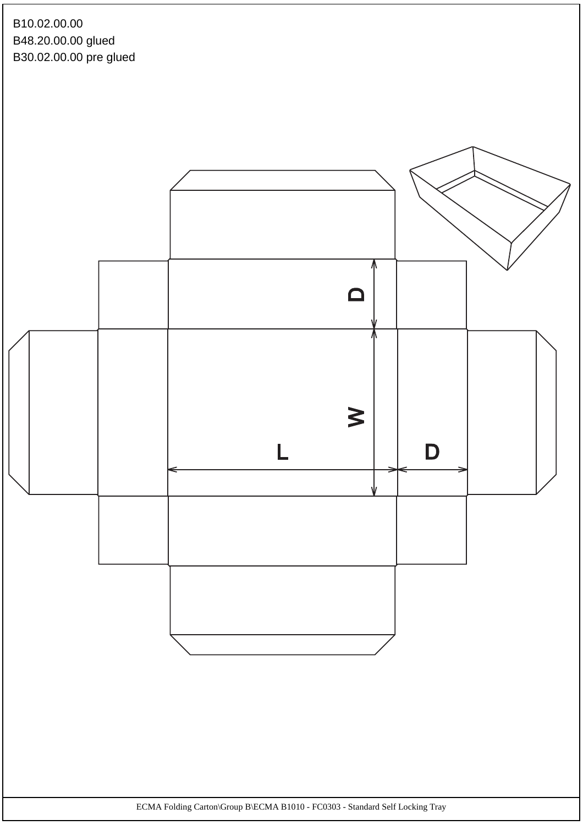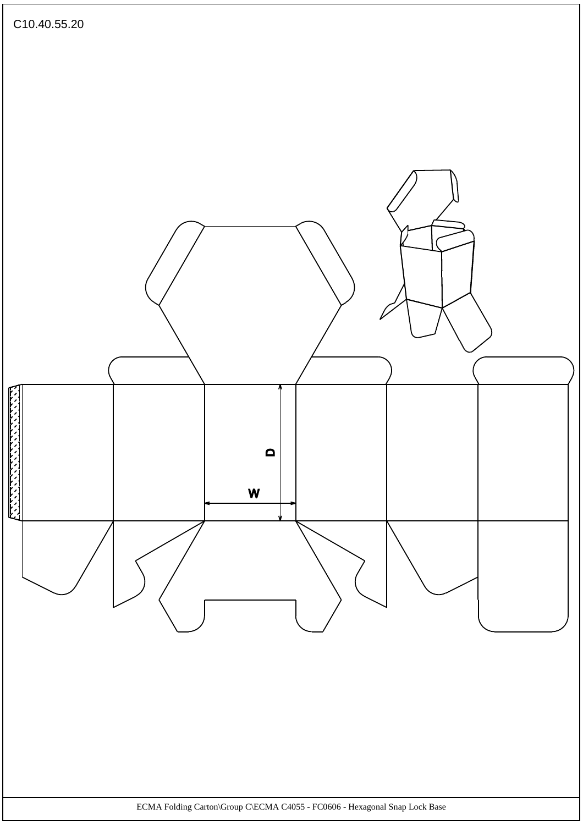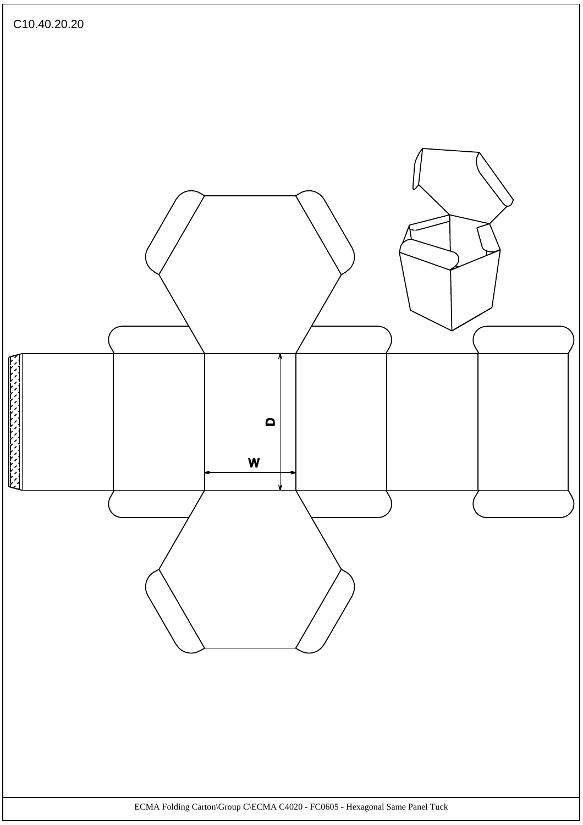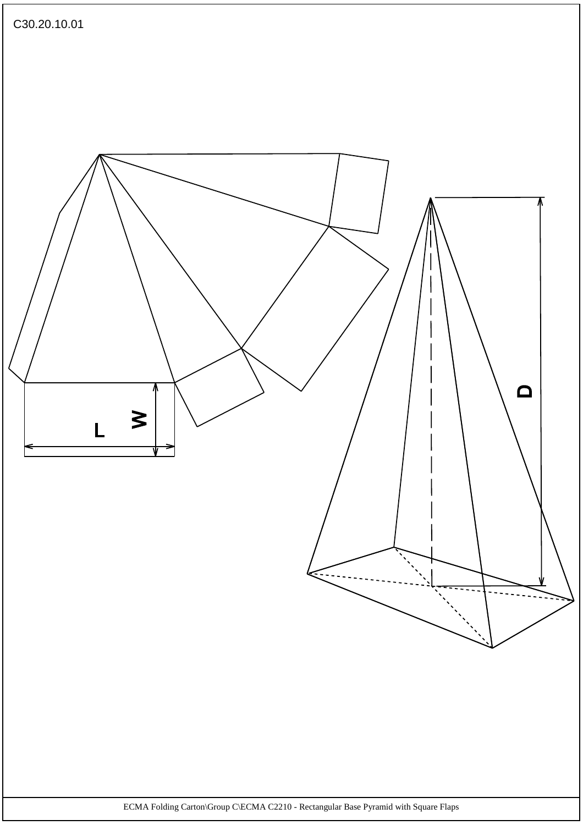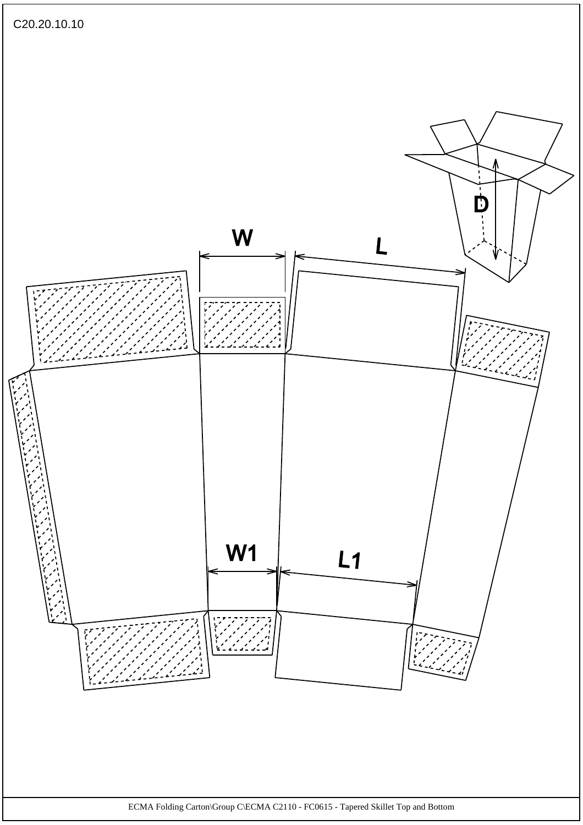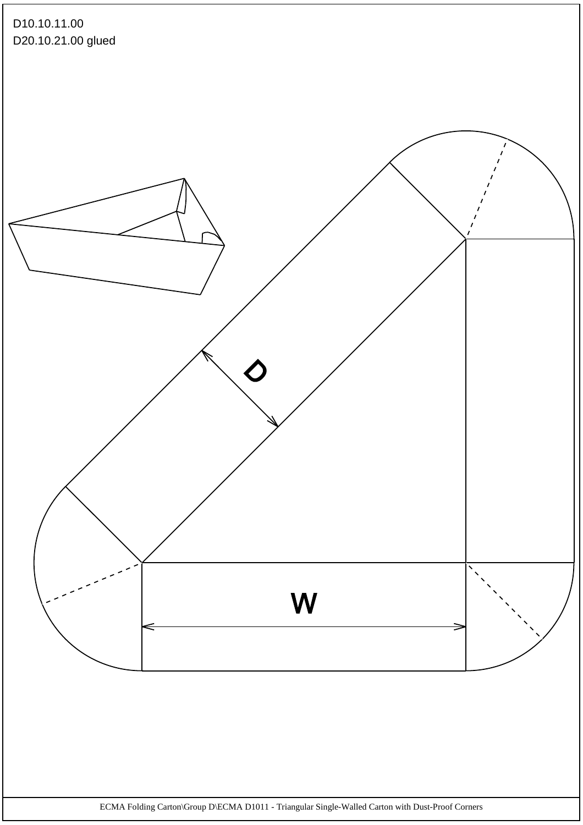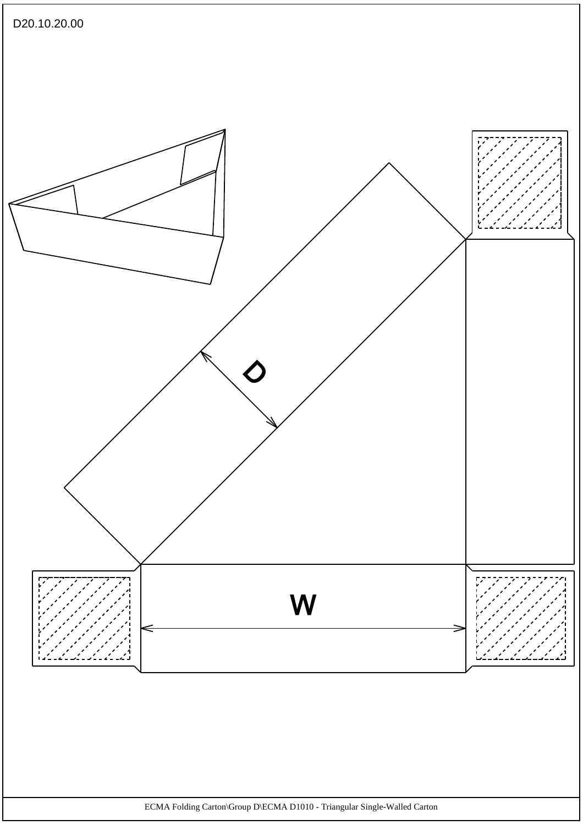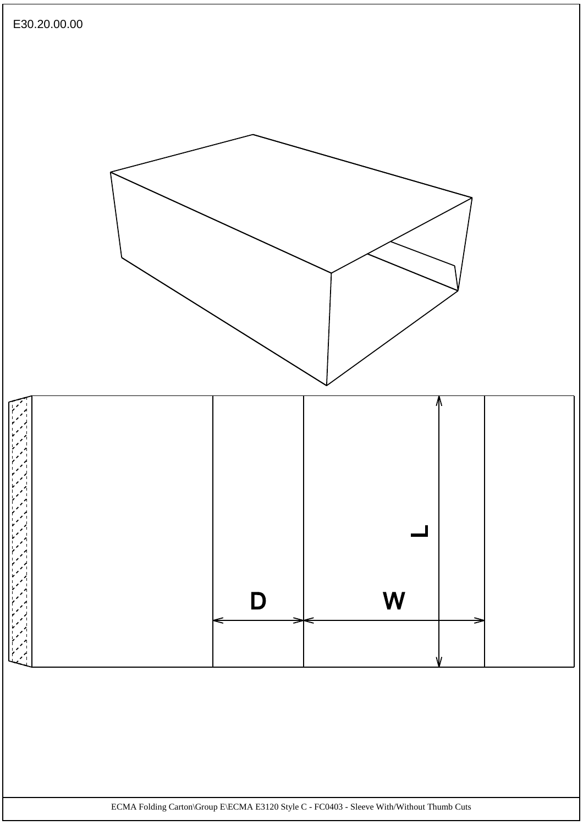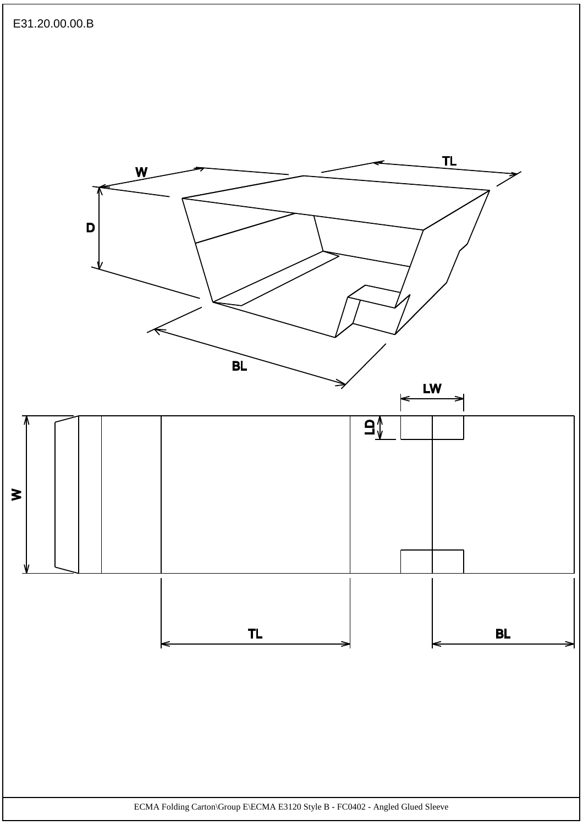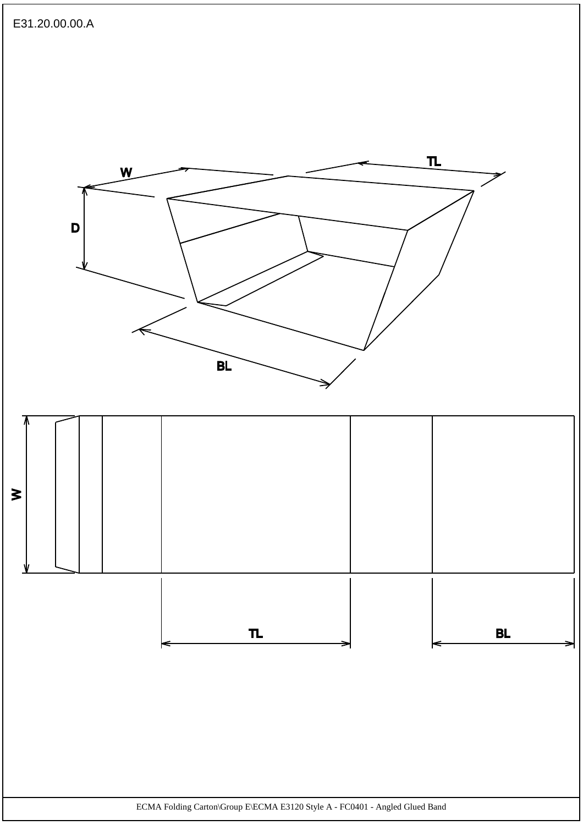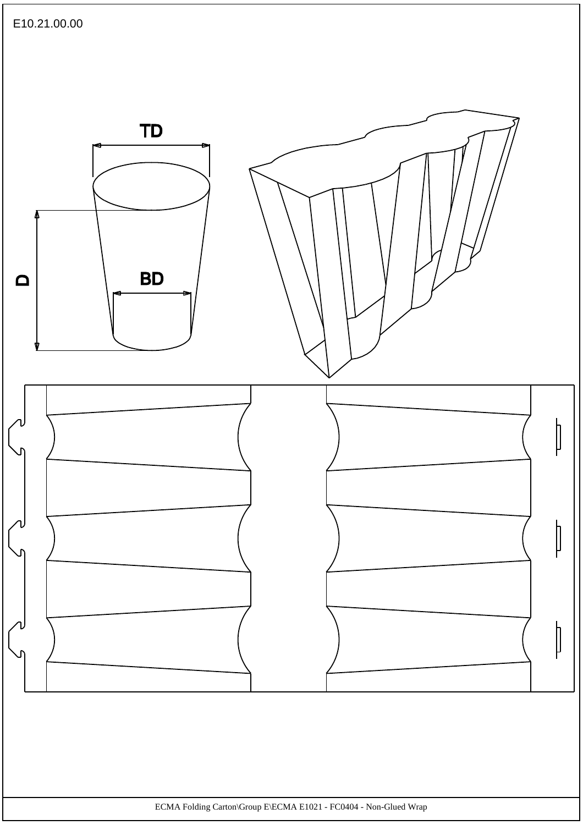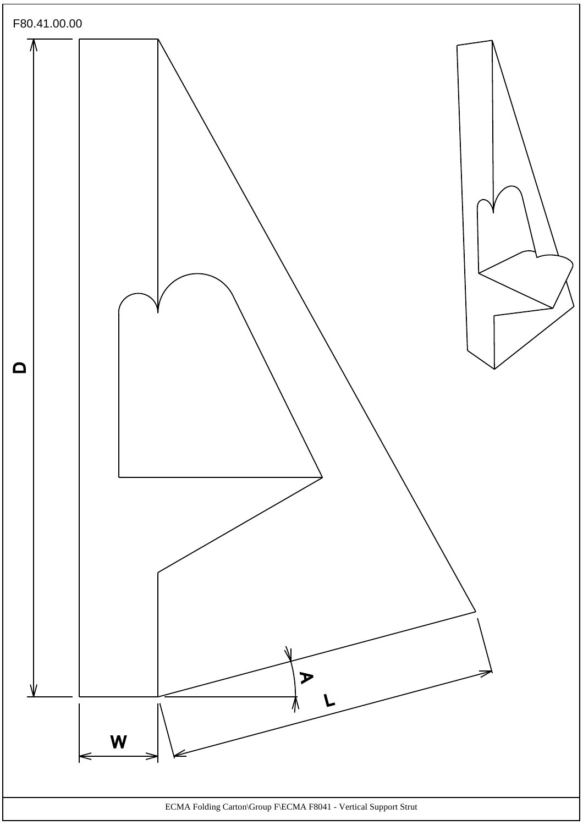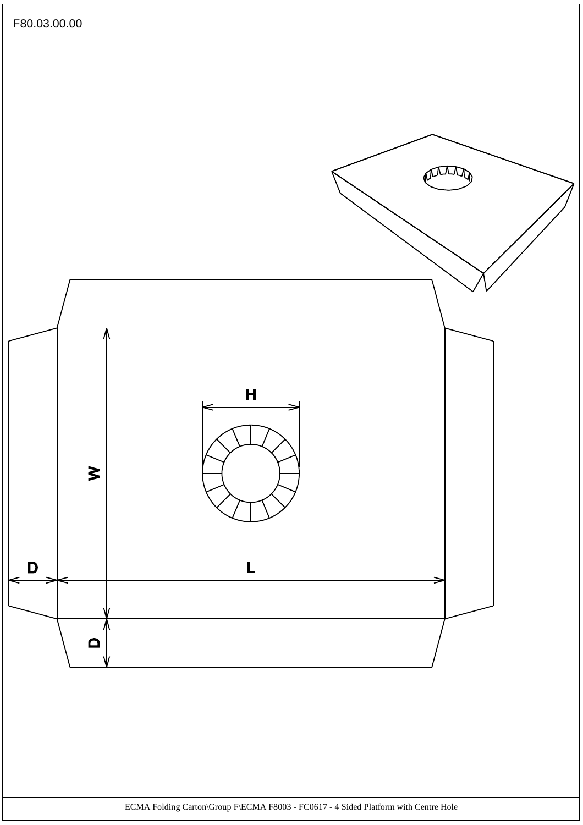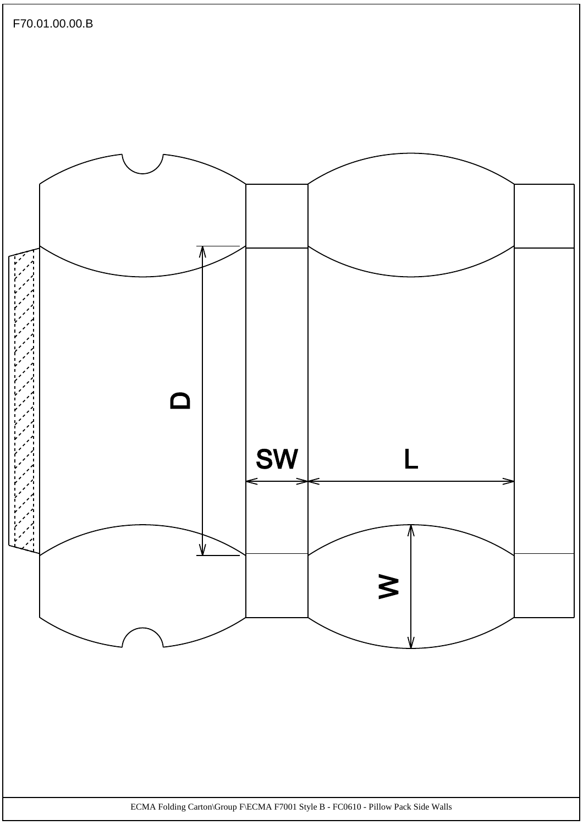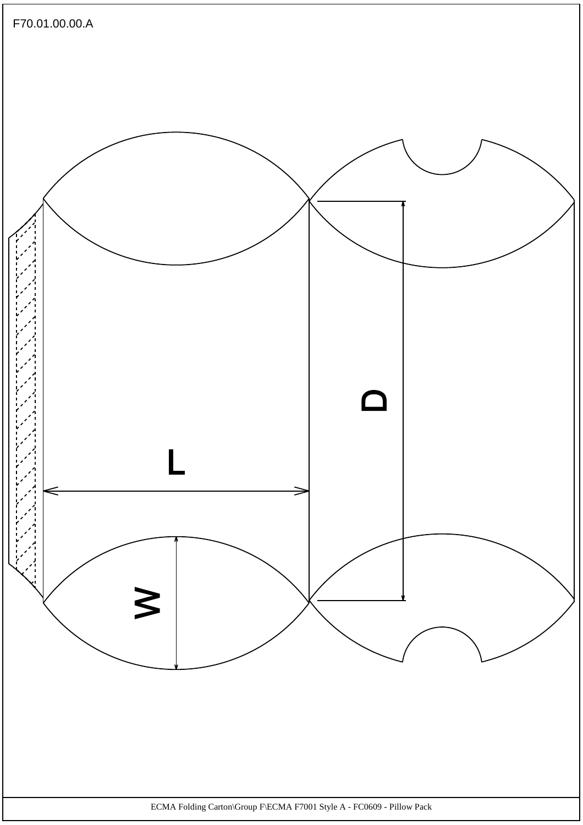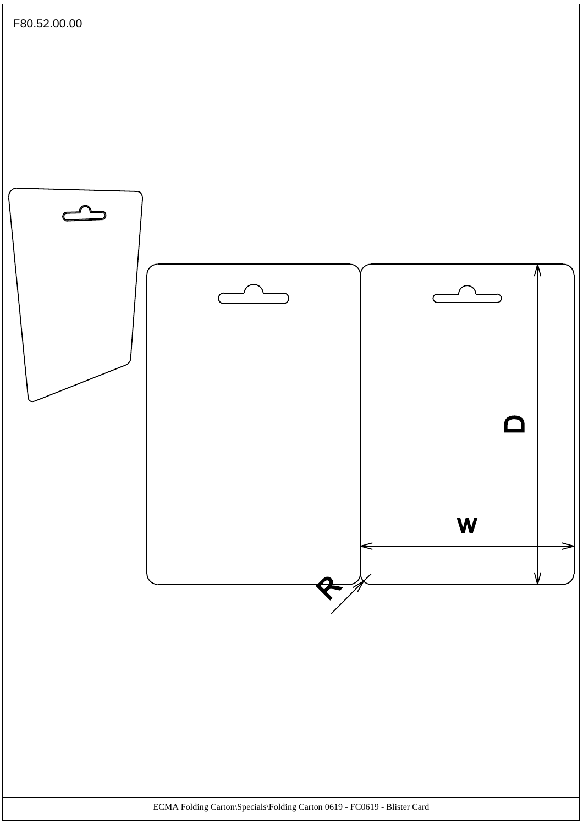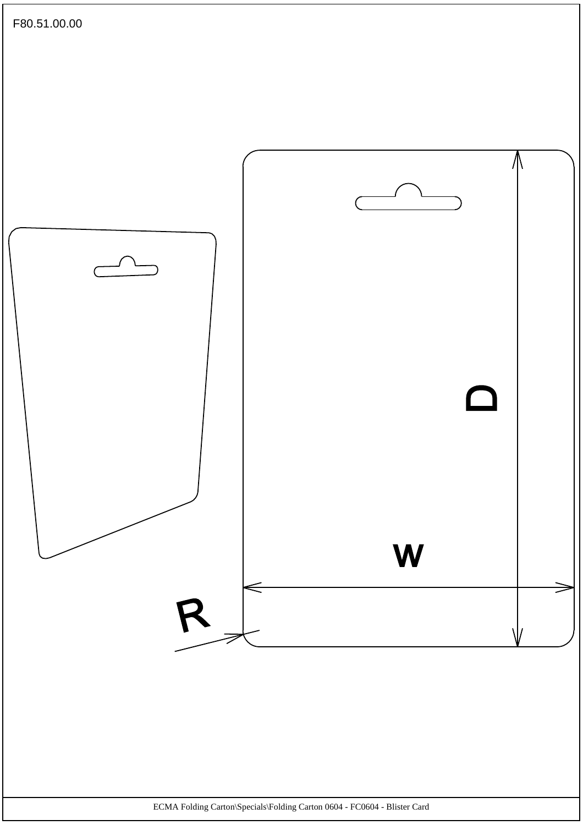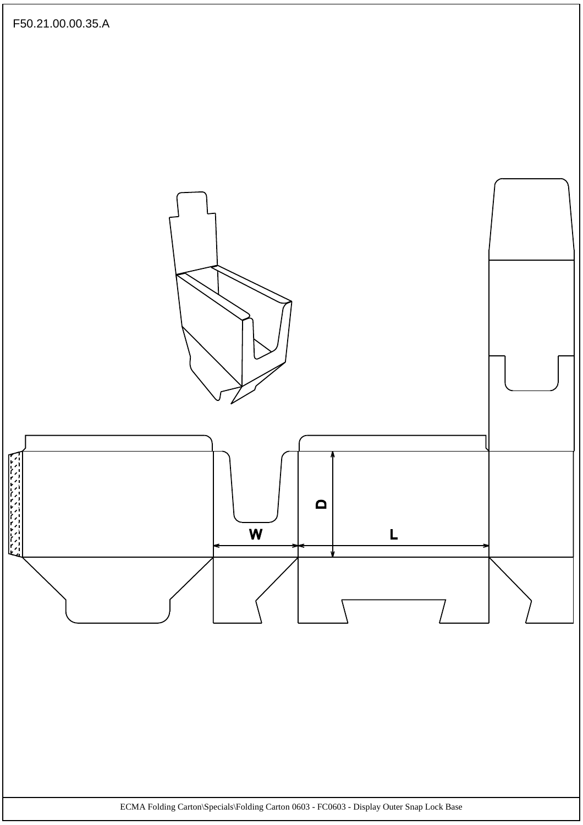